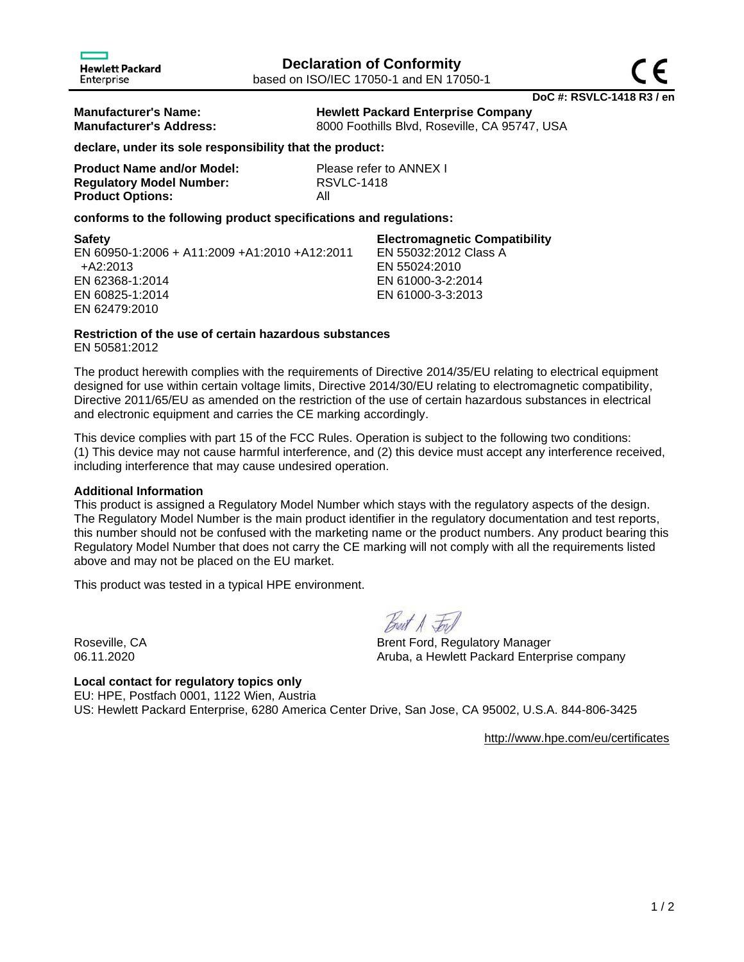**Manufacturer's Name: Hewlett Packard Enterprise Company Manufacturer's Address:** 8000 Foothills Blvd, Roseville, CA 95747, USA

**declare, under its sole responsibility that the product:**

| <b>Product Name and/or Model:</b> | Pk  |
|-----------------------------------|-----|
| <b>Regulatory Model Number:</b>   | RS  |
| <b>Product Options:</b>           | Αll |

**Please refer to ANNEX I Regulatory Model Number:** RSVLC-1418

## **conforms to the following product specifications and regulations:**

**Safety Electromagnetic Compatibility** EN 60950-1:2006 + A11:2009 +A1:2010 +A12:2011 +A2:2013 EN 62368-1:2014 EN 60825-1:2014 EN 62479:2010 EN 55032:2012 Class A EN 55024:2010 EN 61000-3-2:2014 EN 61000-3-3:2013

# **Restriction of the use of certain hazardous substances**

EN 50581:2012

The product herewith complies with the requirements of Directive 2014/35/EU relating to electrical equipment designed for use within certain voltage limits, Directive 2014/30/EU relating to electromagnetic compatibility, Directive 2011/65/EU as amended on the restriction of the use of certain hazardous substances in electrical and electronic equipment and carries the CE marking accordingly.

This device complies with part 15 of the FCC Rules. Operation is subject to the following two conditions: (1) This device may not cause harmful interference, and (2) this device must accept any interference received, including interference that may cause undesired operation.

# **Additional Information**

This product is assigned a Regulatory Model Number which stays with the regulatory aspects of the design. The Regulatory Model Number is the main product identifier in the regulatory documentation and test reports, this number should not be confused with the marketing name or the product numbers. Any product bearing this Regulatory Model Number that does not carry the CE marking will not comply with all the requirements listed above and may not be placed on the EU market.

This product was tested in a typical HPE environment.

Breit A Jon

Roseville, CA Brent Ford, Regulatory Manager 06.11.2020 **CONFERGATE:** Aruba, a Hewlett Packard Enterprise company

**Local contact for regulatory topics only** EU: HPE, Postfach 0001, 1122 Wien, Austria US: Hewlett Packard Enterprise, 6280 America Center Drive, San Jose, CA 95002, U.S.A. 844-806-3425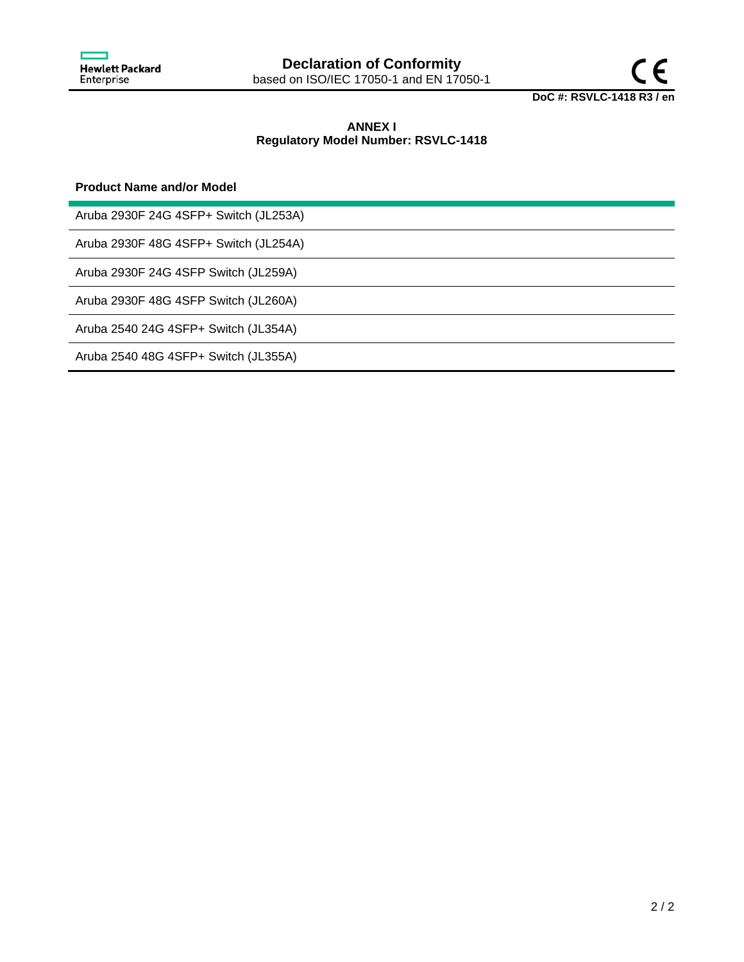

# **ANNEX I Regulatory Model Number: RSVLC-1418**

## **Product Name and/or Model**

Aruba 2930F 24G 4SFP+ Switch (JL253A)

Aruba 2930F 48G 4SFP+ Switch (JL254A)

Aruba 2930F 24G 4SFP Switch (JL259A)

Aruba 2930F 48G 4SFP Switch (JL260A)

Aruba 2540 24G 4SFP+ Switch (JL354A)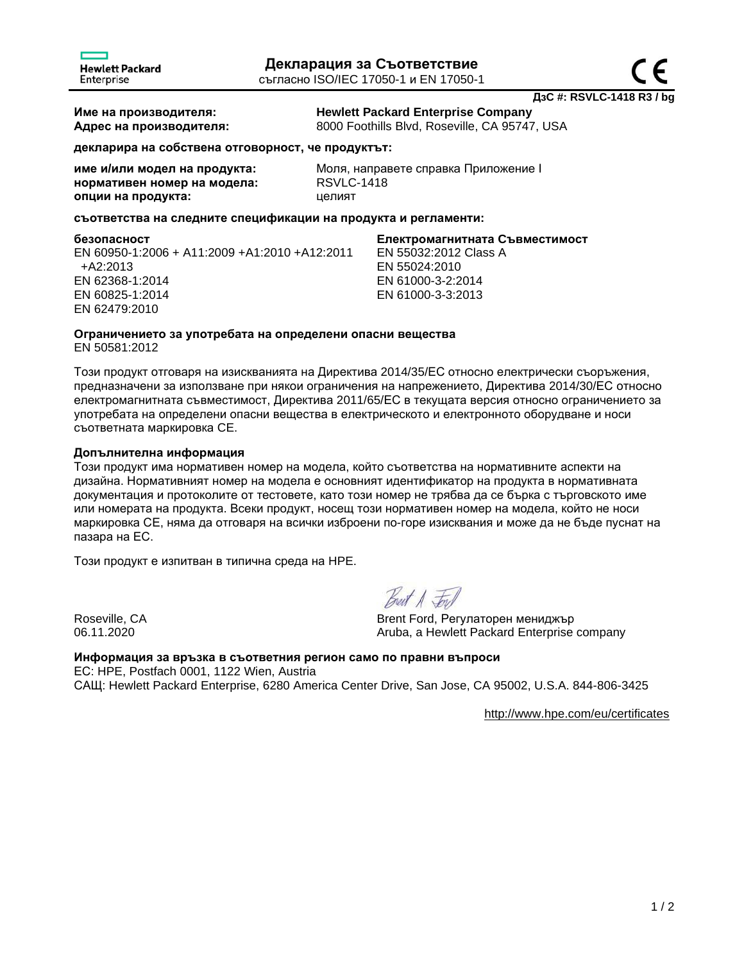**Име на производителя: Hewlett Packard Enterprise Company Адрес на производителя:** 8000 Foothills Blvd, Roseville, CA 95747, USA

**декларира на собствена отговорност, че продуктът:**

| име и/или модел на продукта: |  |
|------------------------------|--|
| нормативен номер на модела:  |  |
| опции на продукта:           |  |

**име и/или модел на продукта:** Моля, направете справка Приложение I **нормативен номер на модела:** RSVLC-1418 **опции на продукта:** целият

## **съответства на следните спецификации на продукта и регламенти:**

**безопасност Eлектромагнитната Cъвместимост**

EN 60950-1:2006 + A11:2009 +A1:2010 +A12:2011 +A2:2013 EN 62368-1:2014 EN 60825-1:2014 EN 62479:2010

EN 55032:2012 Class A EN 55024:2010 EN 61000-3-2:2014 EN 61000-3-3:2013

# **Oграничението за употребата на определени опасни вещества**

EN 50581:2012

Този продукт отговаря на изискванията на Директива 2014/35/ЕС относно електрически съоръжения, предназначени за използване при някои ограничения на напрежението, Директива 2014/30/ЕС относно електромагнитната съвместимост, Директива 2011/65/ЕС в текущата версия относно ограничението за употребата на определени опасни вещества в електрическото и електронното оборудване и носи съответната маркировка CE.

## **Допълнителна информация**

Този продукт има нормативен номер на модела, който съответства на нормативните аспекти на дизайна. Нормативният номер на модела е основният идентификатор на продукта в нормативната документация и протоколите от тестовете, като този номер не трябва да се бърка с търговското име или номерата на продукта. Всеки продукт, носещ този нормативен номер на модела, който не носи маркировка СЕ, няма да отговаря на всички изброени по-горе изисквания и може да не бъде пуснат на пазара на ЕС.

Този продукт е изпитван в типична среда на HPE.

Best A Fors

Roseville, CA Brent Ford, Регулаторен мениджър 06.11.2020 **CONFERGATE:** Aruba, a Hewlett Packard Enterprise company

**Информация за връзка в съответния регион само по правни въпроси** ЕС: HPE, Postfach 0001, 1122 Wien, Austria САЩ: Hewlett Packard Enterprise, 6280 America Center Drive, San Jose, CA 95002, U.S.A. 844-806-3425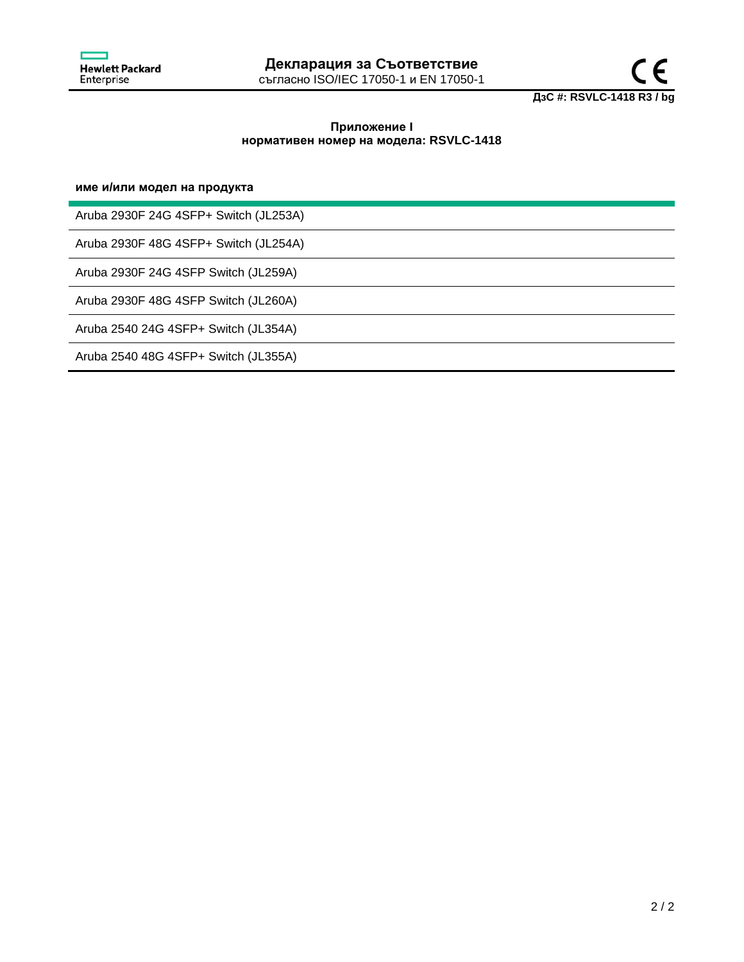



## **Приложение I нормативен номер на модела: RSVLC-1418**

## **име и/или модел на продукта**

Aruba 2930F 24G 4SFP+ Switch (JL253A)

Aruba 2930F 48G 4SFP+ Switch (JL254A)

Aruba 2930F 24G 4SFP Switch (JL259A)

Aruba 2930F 48G 4SFP Switch (JL260A)

Aruba 2540 24G 4SFP+ Switch (JL354A)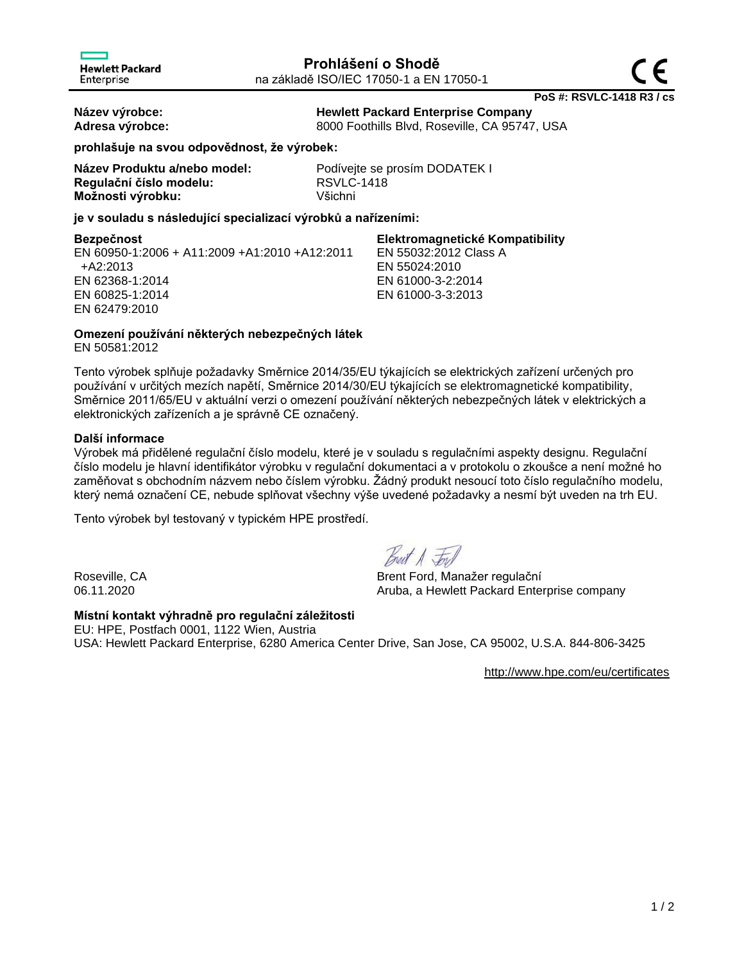**PoS #: RSVLC-1418 R3 / cs**

**Název výrobce: Hewlett Packard Enterprise Company Adresa výrobce:** 8000 Foothills Blvd, Roseville, CA 95747, USA

**prohlašuje na svou odpovědnost, že výrobek:**

| Název Produktu a/nebo model: |
|------------------------------|
| Regulační číslo modelu:      |
| Možnosti výrobku:            |

Podívejte se prosím DODATEK I **Regulační číslo modelu:** RSVLC-1418 **Možnosti výrobku:** Všichni

**je v souladu s následující specializací výrobků a nařízeními:**

EN 60950-1:2006 + A11:2009 +A1:2010 +A12:2011 +A2:2013 EN 62368-1:2014 EN 60825-1:2014 EN 62479:2010

**Bezpečnost Elektromagnetické Kompatibility** EN 55032:2012 Class A EN 55024:2010 EN 61000-3-2:2014 EN 61000-3-3:2013

# **Omezení používání některých nebezpečných látek**

EN 50581:2012

Tento výrobek splňuje požadavky Směrnice 2014/35/EU týkajících se elektrických zařízení určených pro používání v určitých mezích napětí, Směrnice 2014/30/EU týkajících se elektromagnetické kompatibility, Směrnice 2011/65/EU v aktuální verzi o omezení používání některých nebezpečných látek v elektrických a elektronických zařízeních a je správně CE označený.

# **Další informace**

Výrobek má přidělené regulační číslo modelu, které je v souladu s regulačními aspekty designu. Regulační číslo modelu je hlavní identifikátor výrobku v regulační dokumentaci a v protokolu o zkoušce a není možné ho zaměňovat s obchodním názvem nebo číslem výrobku. Žádný produkt nesoucí toto číslo regulačního modelu, který nemá označení CE, nebude splňovat všechny výše uvedené požadavky a nesmí být uveden na trh EU.

Tento výrobek byl testovaný v typickém HPE prostředí.

Breat A Jones

Roseville, CA Brent Ford, Manažer regulační 06.11.2020 **CONFERGATE:** Aruba, a Hewlett Packard Enterprise company

# **Místní kontakt výhradně pro regulační záležitosti**

EU: HPE, Postfach 0001, 1122 Wien, Austria USA: Hewlett Packard Enterprise, 6280 America Center Drive, San Jose, CA 95002, U.S.A. 844-806-3425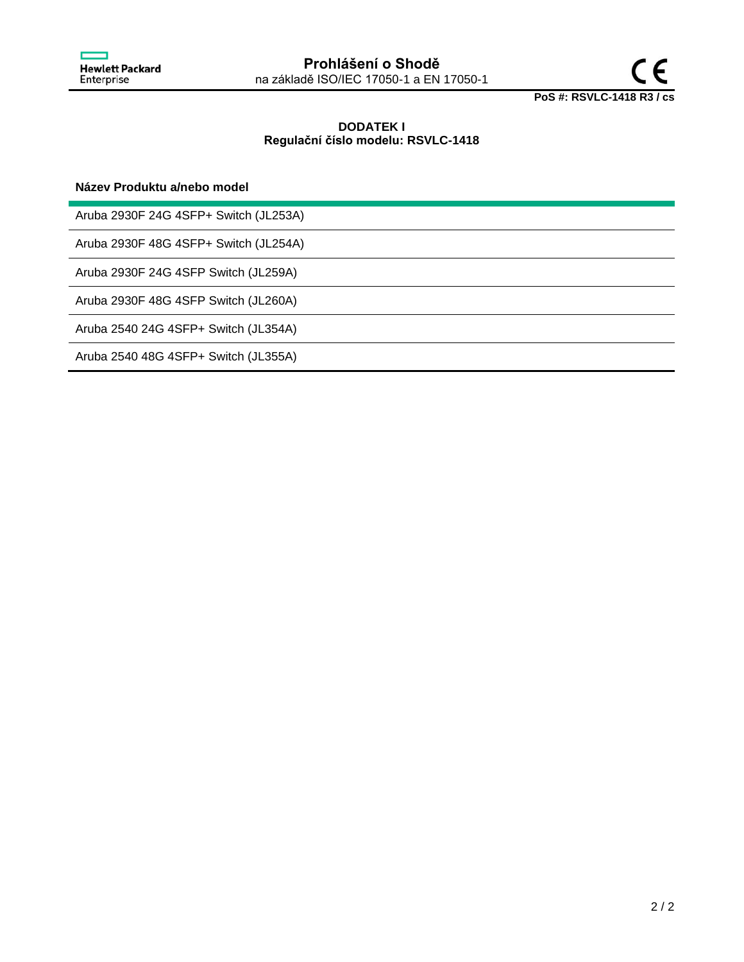

# **DODATEK I Regulační číslo modelu: RSVLC-1418**

## **Název Produktu a/nebo model**

Aruba 2930F 24G 4SFP+ Switch (JL253A)

Aruba 2930F 48G 4SFP+ Switch (JL254A)

Aruba 2930F 24G 4SFP Switch (JL259A)

Aruba 2930F 48G 4SFP Switch (JL260A)

Aruba 2540 24G 4SFP+ Switch (JL354A)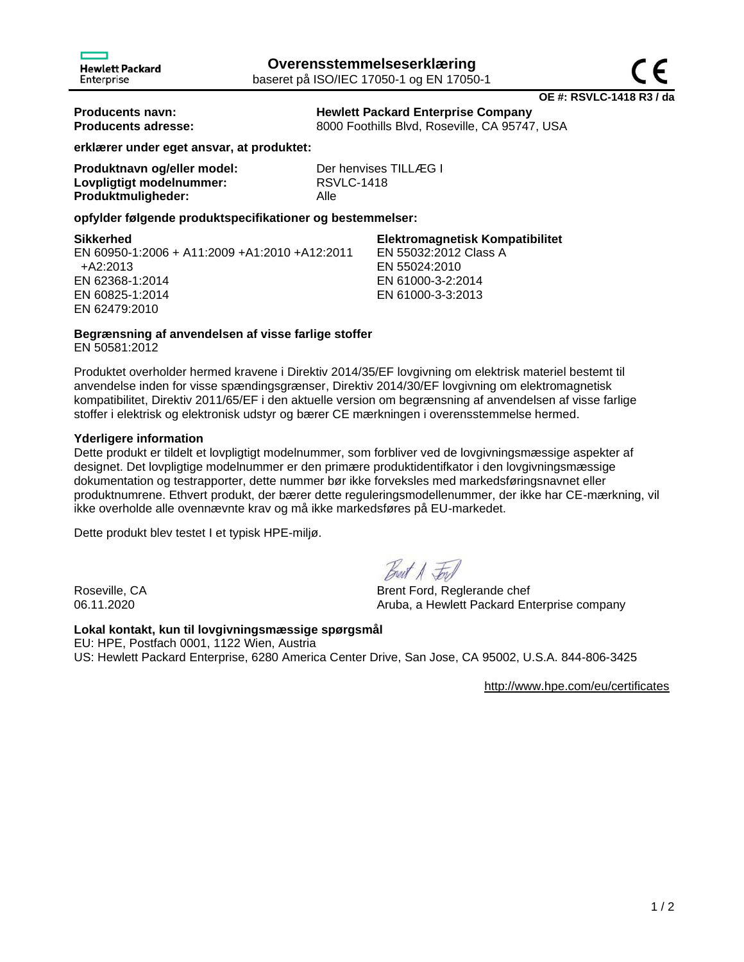**Producents navn: Hewlett Packard Enterprise Company Producents adresse:** 8000 Foothills Blvd, Roseville, CA 95747, USA

EN 55032:2012 Class A

EN 55024:2010 EN 61000-3-2:2014 EN 61000-3-3:2013

**erklærer under eget ansvar, at produktet:**

| Produktnavn og/eller model: | Der henvises TILLÆG I |
|-----------------------------|-----------------------|
| Lovpligtigt modelnummer:    | <b>RSVLC-1418</b>     |
| Produktmuligheder:          | Alle                  |

## **opfylder følgende produktspecifikationer og bestemmelser:**

### **Sikkerhed Elektromagnetisk Kompatibilitet**

EN 60950-1:2006 + A11:2009 +A1:2010 +A12:2011 +A2:2013 EN 62368-1:2014 EN 60825-1:2014 EN 62479:2010

**Begrænsning af anvendelsen af visse farlige stoffer**

EN 50581:2012

Produktet overholder hermed kravene i Direktiv 2014/35/EF lovgivning om elektrisk materiel bestemt til anvendelse inden for visse spændingsgrænser, Direktiv 2014/30/EF lovgivning om elektromagnetisk kompatibilitet, Direktiv 2011/65/EF i den aktuelle version om begrænsning af anvendelsen af visse farlige stoffer i elektrisk og elektronisk udstyr og bærer CE mærkningen i overensstemmelse hermed.

## **Yderligere information**

Dette produkt er tildelt et lovpligtigt modelnummer, som forbliver ved de lovgivningsmæssige aspekter af designet. Det lovpligtige modelnummer er den primære produktidentifkator i den lovgivningsmæssige dokumentation og testrapporter, dette nummer bør ikke forveksles med markedsføringsnavnet eller produktnumrene. Ethvert produkt, der bærer dette reguleringsmodellenummer, der ikke har CE-mærkning, vil ikke overholde alle ovennævnte krav og må ikke markedsføres på EU-markedet.

Dette produkt blev testet I et typisk HPE-miljø.

Roseville, CA Brent Ford, Reglerande chef 06.11.2020 **Aruba, a Hewlett Packard Enterprise company** 

# **Lokal kontakt, kun til lovgivningsmæssige spørgsmål**

EU: HPE, Postfach 0001, 1122 Wien, Austria US: Hewlett Packard Enterprise, 6280 America Center Drive, San Jose, CA 95002, U.S.A. 844-806-3425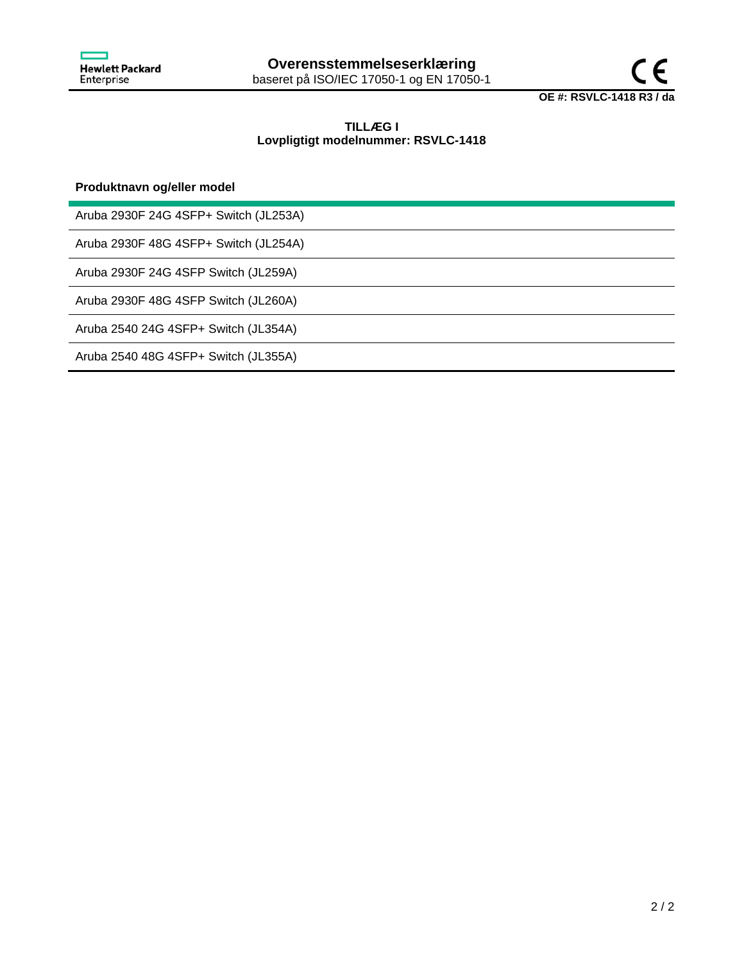

# **TILLÆG I Lovpligtigt modelnummer: RSVLC-1418**

## **Produktnavn og/eller model**

Aruba 2930F 24G 4SFP+ Switch (JL253A)

Aruba 2930F 48G 4SFP+ Switch (JL254A)

Aruba 2930F 24G 4SFP Switch (JL259A)

Aruba 2930F 48G 4SFP Switch (JL260A)

Aruba 2540 24G 4SFP+ Switch (JL354A)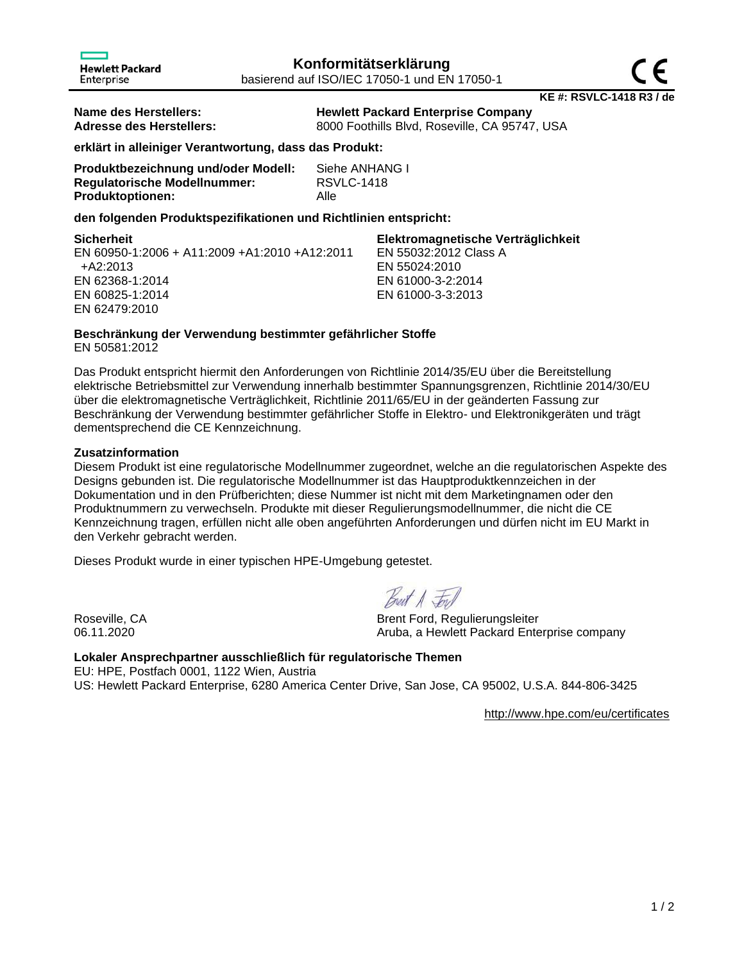| <b>Hewlett Packard</b><br>Enterprise |
|--------------------------------------|
|                                      |

| Name des Herstellers:    | <b>Hewlett Packard Enterprise Company</b>     |
|--------------------------|-----------------------------------------------|
| Adresse des Herstellers: | 8000 Foothills Blvd, Roseville, CA 95747, USA |

**erklärt in alleiniger Verantwortung, dass das Produkt:**

| Produktbezeichnung und/oder Modell: | Siehe ANHANG I    |
|-------------------------------------|-------------------|
| <b>Regulatorische Modellnummer:</b> | <b>RSVLC-1418</b> |
| <b>Produktoptionen:</b>             | Alle              |

## **den folgenden Produktspezifikationen und Richtlinien entspricht:**

| Sicherheit                                    | Elektromagnetische Verträglichkeit |
|-----------------------------------------------|------------------------------------|
| EN 60950-1:2006 + A11:2009 +A1:2010 +A12:2011 | EN 55032:2012 Class A              |
| +A2:2013                                      | EN 55024:2010                      |
| EN 62368-1:2014                               | EN 61000-3-2:2014                  |
| EN 60825-1:2014                               | EN 61000-3-3:2013                  |
| EN 62479:2010                                 |                                    |

# **Beschränkung der Verwendung bestimmter gefährlicher Stoffe**

EN 50581:2012

Das Produkt entspricht hiermit den Anforderungen von Richtlinie 2014/35/EU über die Bereitstellung elektrische Betriebsmittel zur Verwendung innerhalb bestimmter Spannungsgrenzen, Richtlinie 2014/30/EU über die elektromagnetische Verträglichkeit, Richtlinie 2011/65/EU in der geänderten Fassung zur Beschränkung der Verwendung bestimmter gefährlicher Stoffe in Elektro- und Elektronikgeräten und trägt dementsprechend die CE Kennzeichnung.

## **Zusatzinformation**

Diesem Produkt ist eine regulatorische Modellnummer zugeordnet, welche an die regulatorischen Aspekte des Designs gebunden ist. Die regulatorische Modellnummer ist das Hauptproduktkennzeichen in der Dokumentation und in den Prüfberichten; diese Nummer ist nicht mit dem Marketingnamen oder den Produktnummern zu verwechseln. Produkte mit dieser Regulierungsmodellnummer, die nicht die CE Kennzeichnung tragen, erfüllen nicht alle oben angeführten Anforderungen und dürfen nicht im EU Markt in den Verkehr gebracht werden.

Dieses Produkt wurde in einer typischen HPE-Umgebung getestet.

Breat A For

Roseville, CA Brent Ford, Regulierungsleiter 06.11.2020 **CONFERGATE:** Aruba, a Hewlett Packard Enterprise company

**Lokaler Ansprechpartner ausschließlich für regulatorische Themen** EU: HPE, Postfach 0001, 1122 Wien, Austria US: Hewlett Packard Enterprise, 6280 America Center Drive, San Jose, CA 95002, U.S.A. 844-806-3425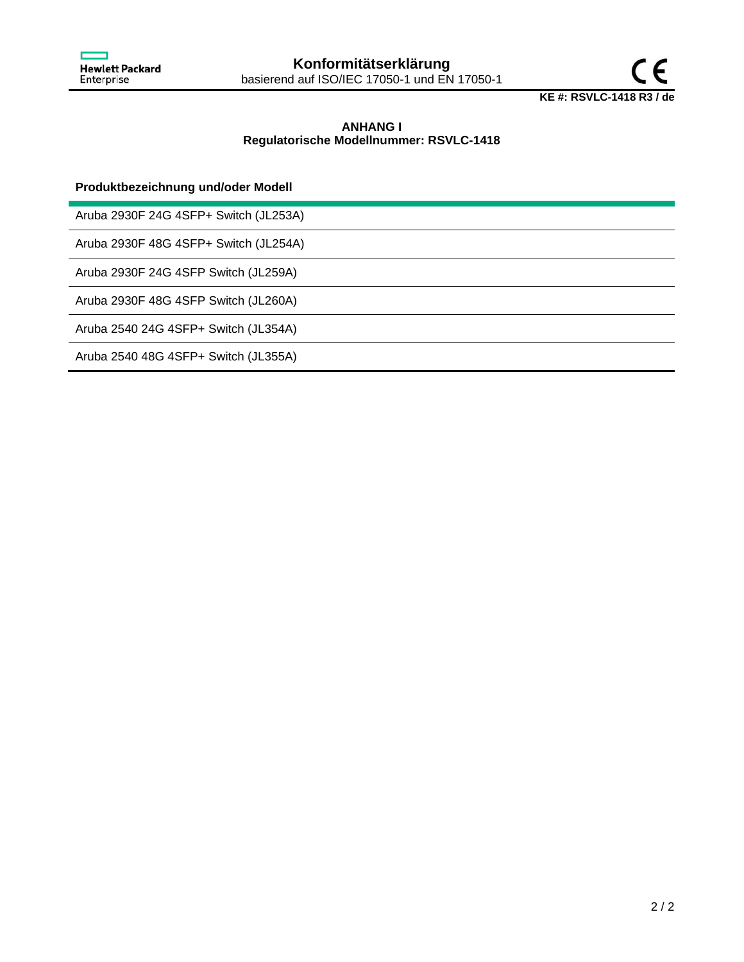

# **ANHANG I Regulatorische Modellnummer: RSVLC-1418**

## **Produktbezeichnung und/oder Modell**

Aruba 2930F 24G 4SFP+ Switch (JL253A)

Aruba 2930F 48G 4SFP+ Switch (JL254A)

Aruba 2930F 24G 4SFP Switch (JL259A)

Aruba 2930F 48G 4SFP Switch (JL260A)

Aruba 2540 24G 4SFP+ Switch (JL354A)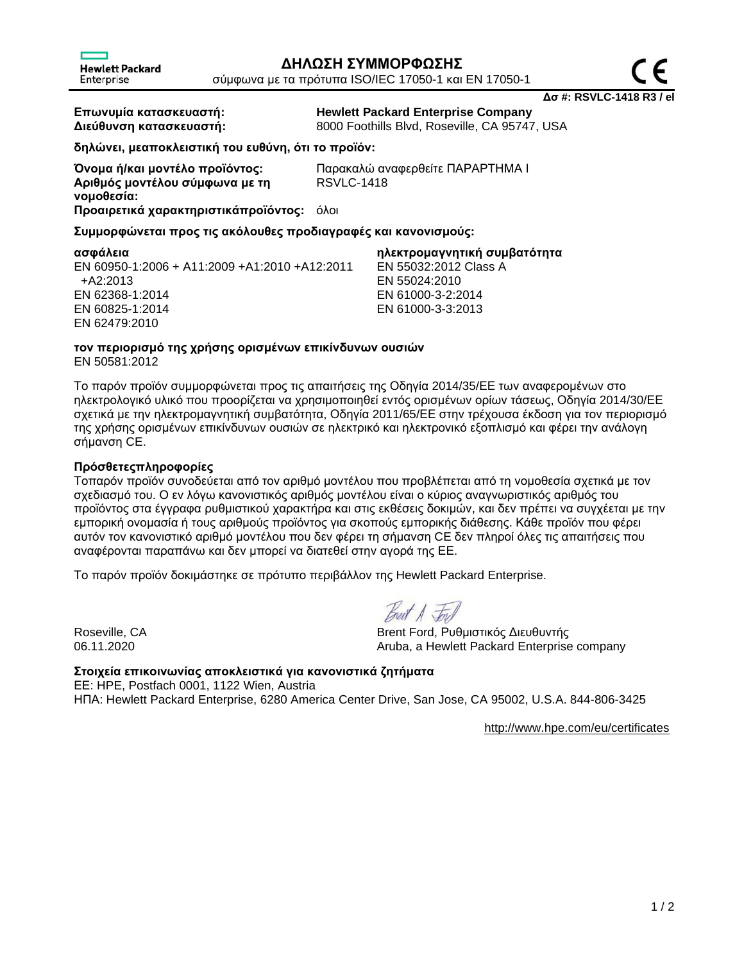**Δσ #: RSVLC-1418 R3 / el**

Enterprise

**Επωνυμία κατασκευαστή: Hewlett Packard Enterprise Company Διεύθυνση κατασκευαστή:** 8000 Foothills Blvd, Roseville, CA 95747, USA

**δηλώνει, μεαποκλειστική του ευθύνη, ότι το προϊόν:**

**Αριθμός μοντέλου σύμφωνα με τη νομοθεσία: Προαιρετικά χαρακτηριστικάπροϊόντος:** όλοι

**Όνομα ή/και μοντέλο προϊόντος:** Παρακαλώ αναφερθείτε ΠΑΡΑΡΤΗΜΑ I RSVLC-1418

**Συμμορφώνεται προς τις ακόλουθες προδιαγραφές και κανονισμούς:**

**ασφάλεια ηλεκτρομαγνητική συμβατότητα** EN 60950-1:2006 + A11:2009 +A1:2010 +A12:2011 +A2:2013 EN 62368-1:2014 EN 60825-1:2014 EN 62479:2010

EN 55032:2012 Class A EN 55024:2010 EN 61000-3-2:2014 EN 61000-3-3:2013

#### **τον περιορισμό της χρήσης ορισμένων επικίνδυνων ουσιών** EN 50581:2012

Το παρόν προϊόν συμμορφώνεται προς τις απαιτήσεις της Οδηγία 2014/35/ΕΕ των αναφερομένων στο ηλεκτρολογικό υλικό που προορίζεται να χρησιμοποιηθεί εντός ορισμένων ορίων τάσεως, Οδηγία 2014/30/ΕΕ σχετικά με την ηλεκτρομαγνητική συμβατότητα, Οδηγία 2011/65/ΕΕ στην τρέχουσα έκδοση για τον περιορισμό της χρήσης ορισμένων επικίνδυνων ουσιών σε ηλεκτρικό και ηλεκτρονικό εξοπλισμό και φέρει την ανάλογη σήμανση CE.

# **Πρόσθετεςπληροφορίες**

Τοπαρόν προϊόν συνοδεύεται από τον αριθμό μοντέλου που προβλέπεται από τη νομοθεσία σχετικά με τον σχεδιασμό του. Ο εν λόγω κανονιστικός αριθμός μοντέλου είναι ο κύριος αναγνωριστικός αριθμός του προϊόντος στα έγγραφα ρυθμιστικού χαρακτήρα και στις εκθέσεις δοκιμών, και δεν πρέπει να συγχέεται με την εμπορική ονομασία ή τους αριθμούς προϊόντος για σκοπούς εμπορικής διάθεσης. Κάθε προϊόν που φέρει αυτόν τον κανονιστικό αριθμό μοντέλου που δεν φέρει τη σήμανση CE δεν πληροί όλες τις απαιτήσεις που αναφέρονται παραπάνω και δεν μπορεί να διατεθεί στην αγορά της ΕΕ.

Το παρόν προϊόν δοκιμάστηκε σε πρότυπο περιβάλλον της Hewlett Packard Enterprise.

Breat A Ford

Roseville, CA Brent Ford, Ρυθμιστικός Διευθυντής 06.11.2020 Aruba, a Hewlett Packard Enterprise company

**Στοιχεία επικοινωνίας αποκλειστικά για κανονιστικά ζητήματα** ΕΕ: HPE, Postfach 0001, 1122 Wien, Austria ΗΠΑ: Hewlett Packard Enterprise, 6280 America Center Drive, San Jose, CA 95002, U.S.A. 844-806-3425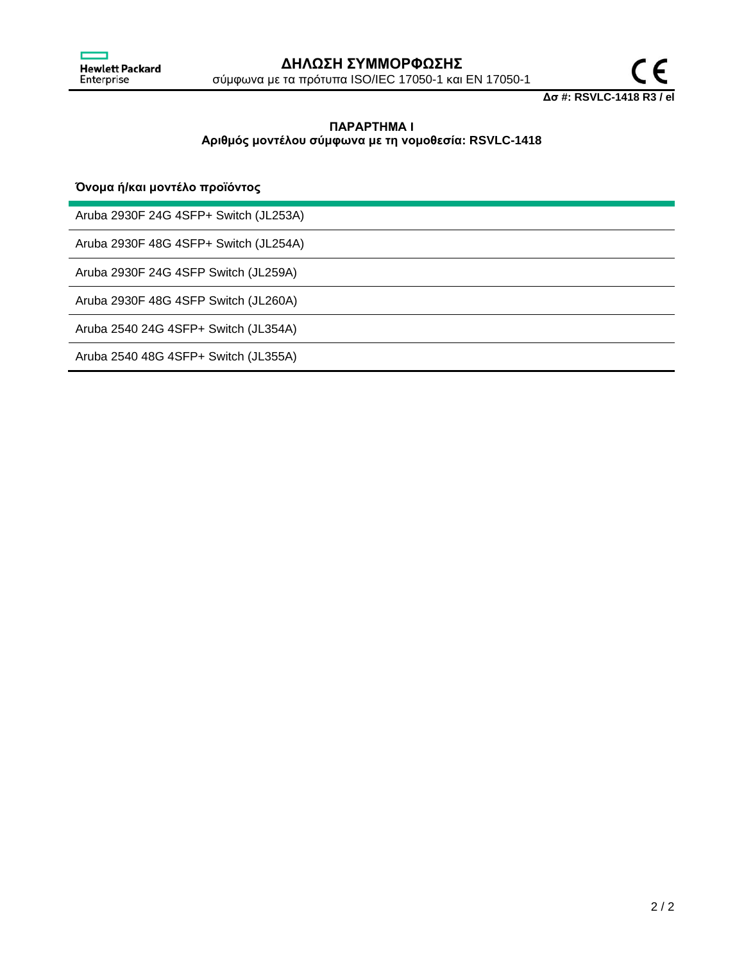

**Δσ #: RSVLC-1418 R3 / el**

# **ΠΑΡΑΡΤΗΜΑ I Αριθμός μοντέλου σύμφωνα με τη νομοθεσία: RSVLC-1418**

# **Όνομα ή/και μοντέλο προϊόντος**

Aruba 2930F 24G 4SFP+ Switch (JL253A)

Aruba 2930F 48G 4SFP+ Switch (JL254A)

Aruba 2930F 24G 4SFP Switch (JL259A)

Aruba 2930F 48G 4SFP Switch (JL260A)

Aruba 2540 24G 4SFP+ Switch (JL354A)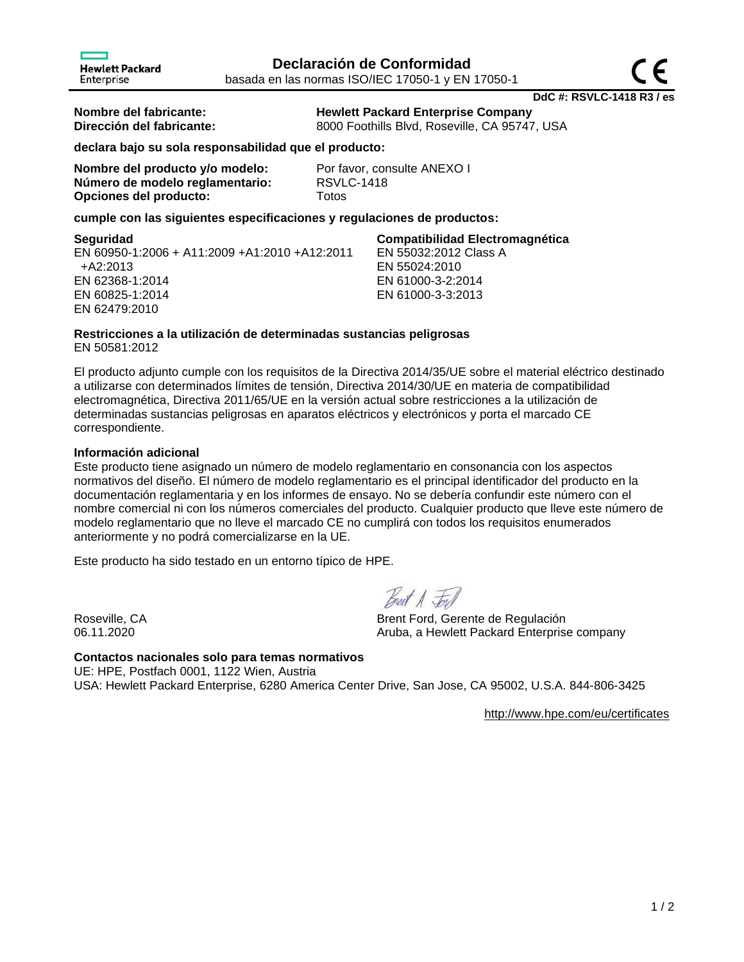**DdC #: RSVLC-1418 R3 / es**

**Hewlett Packard** 

**Nombre del fabricante: Hewlett Packard Enterprise Company Dirección del fabricante:** 8000 Foothills Blvd, Roseville, CA 95747, USA

EN 55032:2012 Class A

EN 55024:2010 EN 61000-3-2:2014 EN 61000-3-3:2013

**declara bajo su sola responsabilidad que el producto:**

| Nombre del producto y/o modelo: | Por fa      |
|---------------------------------|-------------|
| Número de modelo reglamentario: | <b>RSVL</b> |
| Opciones del producto:          | Totos       |

Por favor, consulte ANEXO I **Número de modelo reglamentario:** RSVLC-1418

**cumple con las siguientes especificaciones y regulaciones de productos:**

### **Seguridad Compatibilidad Electromagnética**

EN 60950-1:2006 + A11:2009 +A1:2010 +A12:2011 +A2:2013 EN 62368-1:2014 EN 60825-1:2014 EN 62479:2010

### **Restricciones a la utilización de determinadas sustancias peligrosas** EN 50581:2012

El producto adjunto cumple con los requisitos de la Directiva 2014/35/UE sobre el material eléctrico destinado a utilizarse con determinados límites de tensión, Directiva 2014/30/UE en materia de compatibilidad electromagnética, Directiva 2011/65/UE en la versión actual sobre restricciones a la utilización de determinadas sustancias peligrosas en aparatos eléctricos y electrónicos y porta el marcado CE correspondiente.

# **Información adicional**

Este producto tiene asignado un número de modelo reglamentario en consonancia con los aspectos normativos del diseño. El número de modelo reglamentario es el principal identificador del producto en la documentación reglamentaria y en los informes de ensayo. No se debería confundir este número con el nombre comercial ni con los números comerciales del producto. Cualquier producto que lleve este número de modelo reglamentario que no lleve el marcado CE no cumplirá con todos los requisitos enumerados anteriormente y no podrá comercializarse en la UE.

Este producto ha sido testado en un entorno típico de HPE.

Best A For

Roseville, CA Brent Ford, Gerente de Regulación 06.11.2020 **CONFERGATE:** Aruba, a Hewlett Packard Enterprise company

**Contactos nacionales solo para temas normativos** UE: HPE, Postfach 0001, 1122 Wien, Austria USA: Hewlett Packard Enterprise, 6280 America Center Drive, San Jose, CA 95002, U.S.A. 844-806-3425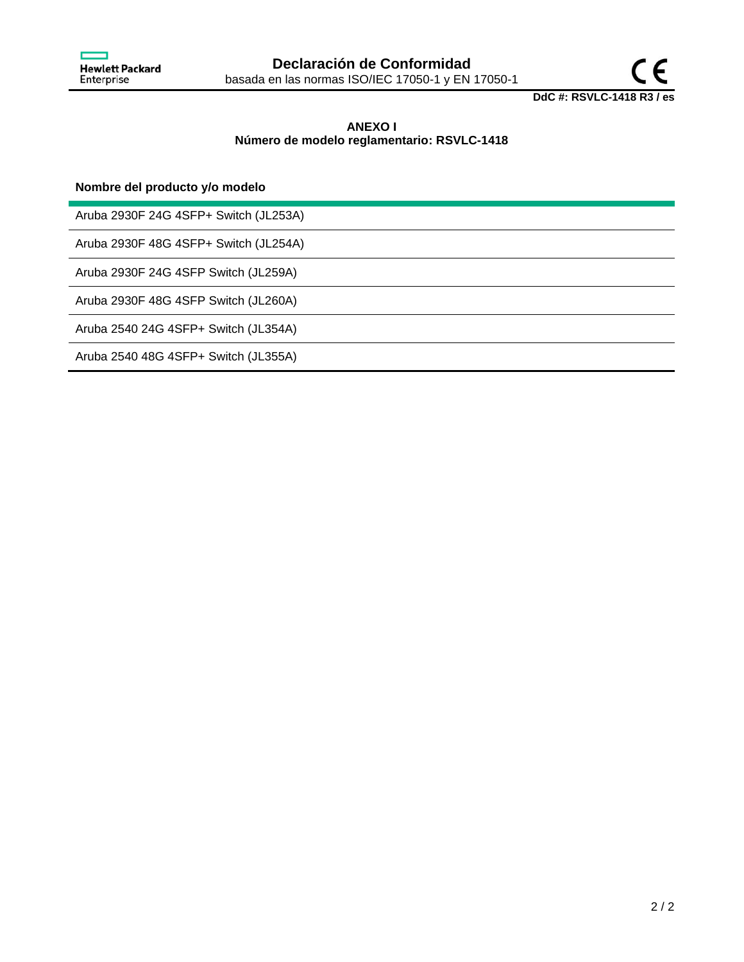

# **ANEXO I Número de modelo reglamentario: RSVLC-1418**

## **Nombre del producto y/o modelo**

Aruba 2930F 24G 4SFP+ Switch (JL253A)

Aruba 2930F 48G 4SFP+ Switch (JL254A)

Aruba 2930F 24G 4SFP Switch (JL259A)

Aruba 2930F 48G 4SFP Switch (JL260A)

Aruba 2540 24G 4SFP+ Switch (JL354A)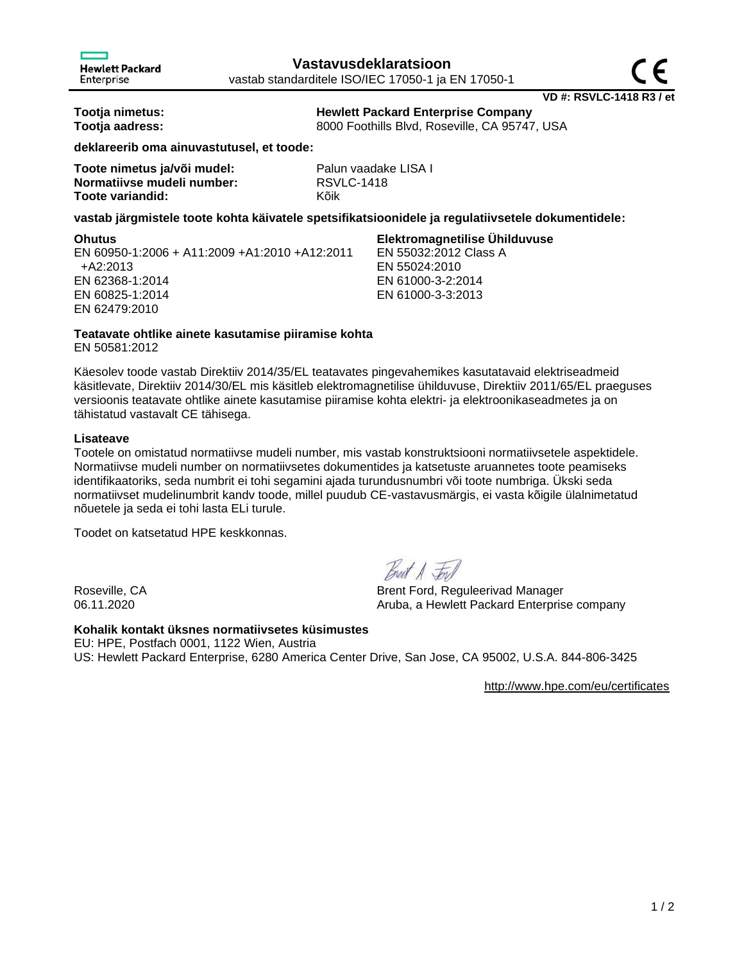**VD #: RSVLC-1418 R3 / et**

**Tootja nimetus: Hewlett Packard Enterprise Company Tootja aadress:** 8000 Foothills Blvd, Roseville, CA 95747, USA

**deklareerib oma ainuvastutusel, et toode:**

| Toote nimetus ja/või mudel: | Palu       |
|-----------------------------|------------|
| Normatiivse mudeli number:  | <b>RSV</b> |
| Toote variandid:            | Kõik       |

Palun vaadake LISA I **Normatiivse mudeli number:** RSVLC-1418

## **vastab järgmistele toote kohta käivatele spetsifikatsioonidele ja regulatiivsetele dokumentidele:**

**Ohutus Elektromagnetilise Ühilduvuse** EN 60950-1:2006 + A11:2009 +A1:2010 +A12:2011 +A2:2013 EN 62368-1:2014 EN 60825-1:2014 EN 62479:2010

EN 55032:2012 Class A EN 55024:2010

EN 61000-3-2:2014 EN 61000-3-3:2013

# **Teatavate ohtlike ainete kasutamise piiramise kohta**

EN 50581:2012

Käesolev toode vastab Direktiiv 2014/35/EL teatavates pingevahemikes kasutatavaid elektriseadmeid käsitlevate, Direktiiv 2014/30/EL mis käsitleb elektromagnetilise ühilduvuse, Direktiiv 2011/65/EL praeguses versioonis teatavate ohtlike ainete kasutamise piiramise kohta elektri- ja elektroonikaseadmetes ja on tähistatud vastavalt CE tähisega.

## **Lisateave**

Tootele on omistatud normatiivse mudeli number, mis vastab konstruktsiooni normatiivsetele aspektidele. Normatiivse mudeli number on normatiivsetes dokumentides ja katsetuste aruannetes toote peamiseks identifikaatoriks, seda numbrit ei tohi segamini ajada turundusnumbri või toote numbriga. Ükski seda normatiivset mudelinumbrit kandv toode, millel puudub CE-vastavusmärgis, ei vasta kõigile ülalnimetatud nõuetele ja seda ei tohi lasta ELi turule.

Toodet on katsetatud HPE keskkonnas.

Roseville, CA Brent Ford, Reguleerivad Manager 06.11.2020 **CONFERGATE:** Aruba, a Hewlett Packard Enterprise company

## **Kohalik kontakt üksnes normatiivsetes küsimustes**

EU: HPE, Postfach 0001, 1122 Wien, Austria US: Hewlett Packard Enterprise, 6280 America Center Drive, San Jose, CA 95002, U.S.A. 844-806-3425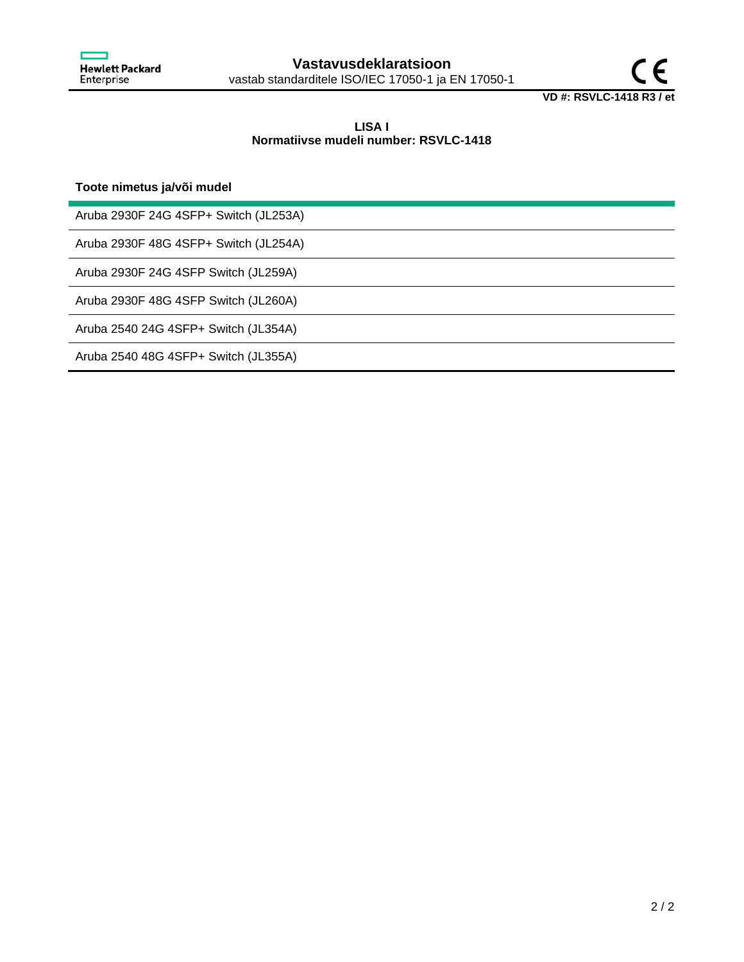

## **LISA I Normatiivse mudeli number: RSVLC-1418**

**Toote nimetus ja/või mudel**

Aruba 2930F 24G 4SFP+ Switch (JL253A)

Aruba 2930F 48G 4SFP+ Switch (JL254A)

Aruba 2930F 24G 4SFP Switch (JL259A)

Aruba 2930F 48G 4SFP Switch (JL260A)

Aruba 2540 24G 4SFP+ Switch (JL354A)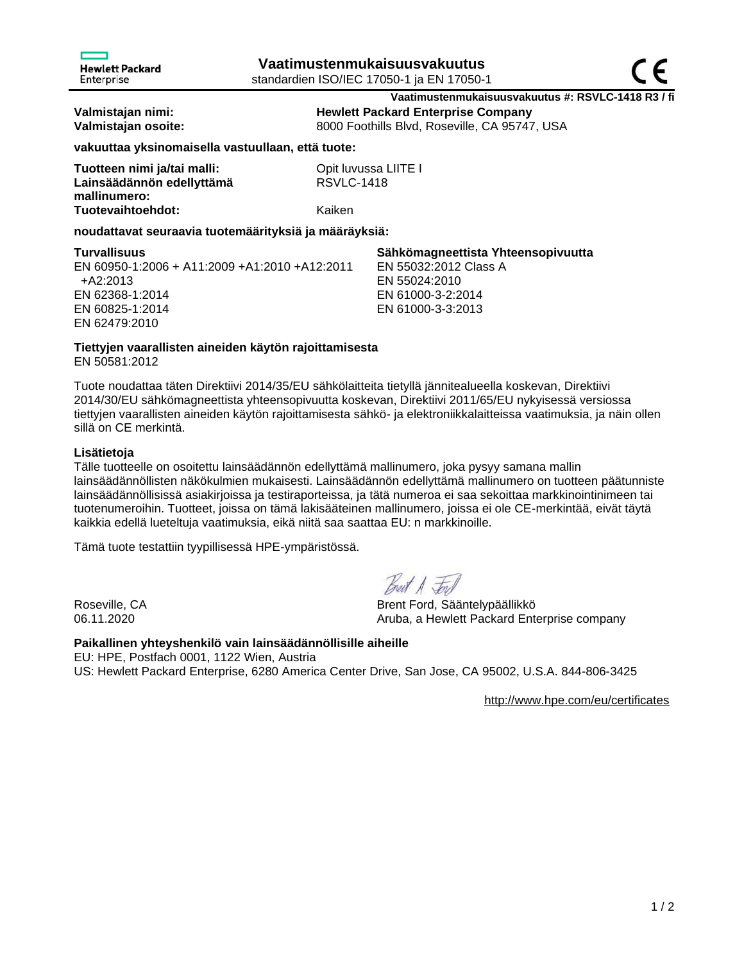**Vaatimustenmukaisuusvakuutus #: RSVLC-1418 R3 / fi Valmistajan nimi: Hewlett Packard Enterprise Company**

**Valmistajan osoite:** 8000 Foothills Blvd, Roseville, CA 95747, USA

**vakuuttaa yksinomaisella vastuullaan, että tuote:**

| Tuotteen nimi ja/tai malli: | Opit luvussa LIITE I |
|-----------------------------|----------------------|
| Lainsäädännön edellyttämä   | <b>RSVLC-1418</b>    |
| mallinumero:                |                      |
| Tuotevaihtoehdot:           | Kaiken               |

**noudattavat seuraavia tuotemäärityksiä ja määräyksiä:**

| <b>Turvallisuus</b>                           | Sähkömagneettista Yhteensopivuutta |
|-----------------------------------------------|------------------------------------|
| EN 60950-1:2006 + A11:2009 +A1:2010 +A12:2011 | EN 55032:2012 Class A              |
| +A2:2013                                      | EN 55024:2010                      |
| EN 62368-1:2014                               | EN 61000-3-2:2014                  |
| EN 60825-1:2014                               | EN 61000-3-3:2013                  |
| EN 62479:2010                                 |                                    |

**Tiettyjen vaarallisten aineiden käytön rajoittamisesta**

EN 50581:2012

Tuote noudattaa täten Direktiivi 2014/35/EU sähkölaitteita tietyllä jännitealueella koskevan, Direktiivi 2014/30/EU sähkömagneettista yhteensopivuutta koskevan, Direktiivi 2011/65/EU nykyisessä versiossa tiettyjen vaarallisten aineiden käytön rajoittamisesta sähkö- ja elektroniikkalaitteissa vaatimuksia, ja näin ollen sillä on CE merkintä.

## **Lisätietoja**

Tälle tuotteelle on osoitettu lainsäädännön edellyttämä mallinumero, joka pysyy samana mallin lainsäädännöllisten näkökulmien mukaisesti. Lainsäädännön edellyttämä mallinumero on tuotteen päätunniste lainsäädännöllisissä asiakirjoissa ja testiraporteissa, ja tätä numeroa ei saa sekoittaa markkinointinimeen tai tuotenumeroihin. Tuotteet, joissa on tämä lakisääteinen mallinumero, joissa ei ole CE-merkintää, eivät täytä kaikkia edellä lueteltuja vaatimuksia, eikä niitä saa saattaa EU: n markkinoille.

Tämä tuote testattiin tyypillisessä HPE-ympäristössä.

Best A Ford

Roseville, CA Brent Ford, Sääntelypäällikkö 06.11.2020 Aruba, a Hewlett Packard Enterprise company

# **Paikallinen yhteyshenkilö vain lainsäädännöllisille aiheille** EU: HPE, Postfach 0001, 1122 Wien, Austria

US: Hewlett Packard Enterprise, 6280 America Center Drive, San Jose, CA 95002, U.S.A. 844-806-3425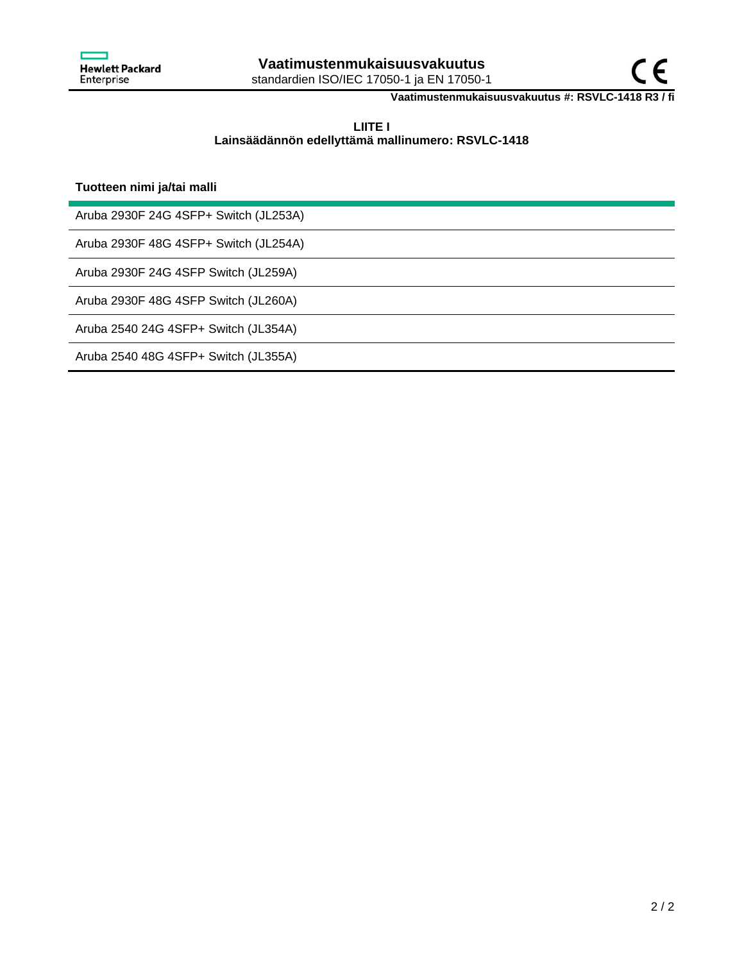

**Vaatimustenmukaisuusvakuutus #: RSVLC-1418 R3 / fi**

## **LIITE I Lainsäädännön edellyttämä mallinumero: RSVLC-1418**

## **Tuotteen nimi ja/tai malli**

Aruba 2930F 24G 4SFP+ Switch (JL253A)

Aruba 2930F 48G 4SFP+ Switch (JL254A)

Aruba 2930F 24G 4SFP Switch (JL259A)

Aruba 2930F 48G 4SFP Switch (JL260A)

Aruba 2540 24G 4SFP+ Switch (JL354A)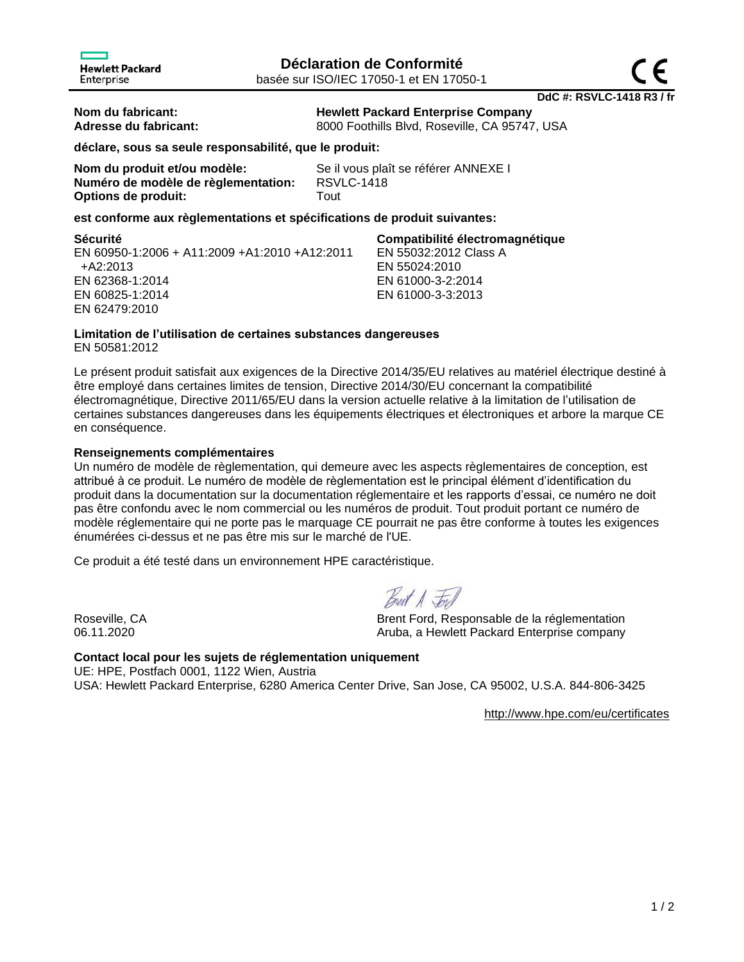**Nom du fabricant: Hewlett Packard Enterprise Company**

Adresse du fabricant: 8000 Foothills Blvd, Roseville, CA 95747, USA

EN 55032:2012 Class A

**déclare, sous sa seule responsabilité, que le produit:**

**Nom du produit et/ou modèle:** Se il vous plaît se référer ANNEXE I **Numéro de modèle de règlementation:** RSVLC-1418 **Options de produit:** Tout

EN 55024:2010 EN 61000-3-2:2014 EN 61000-3-3:2013

## **est conforme aux règlementations et spécifications de produit suivantes:**

**Sécurité Compatibilité électromagnétique** EN 60950-1:2006 + A11:2009 +A1:2010 +A12:2011 +A2:2013 EN 62368-1:2014 EN 60825-1:2014 EN 62479:2010

# **Limitation de l'utilisation de certaines substances dangereuses**

EN 50581:2012

Le présent produit satisfait aux exigences de la Directive 2014/35/EU relatives au matériel électrique destiné à être employé dans certaines limites de tension, Directive 2014/30/EU concernant la compatibilité électromagnétique, Directive 2011/65/EU dans la version actuelle relative à la limitation de l'utilisation de certaines substances dangereuses dans les équipements électriques et électroniques et arbore la marque CE en conséquence.

## **Renseignements complémentaires**

Un numéro de modèle de règlementation, qui demeure avec les aspects règlementaires de conception, est attribué à ce produit. Le numéro de modèle de règlementation est le principal élément d'identification du produit dans la documentation sur la documentation réglementaire et les rapports d'essai, ce numéro ne doit pas être confondu avec le nom commercial ou les numéros de produit. Tout produit portant ce numéro de modèle réglementaire qui ne porte pas le marquage CE pourrait ne pas être conforme à toutes les exigences énumérées ci-dessus et ne pas être mis sur le marché de l'UE.

Ce produit a été testé dans un environnement HPE caractéristique.

Best A For

Roseville, CA Brent Ford, Responsable de la réglementation 06.11.2020 **CONFERGATE:** Aruba, a Hewlett Packard Enterprise company

**Contact local pour les sujets de réglementation uniquement** UE: HPE, Postfach 0001, 1122 Wien, Austria USA: Hewlett Packard Enterprise, 6280 America Center Drive, San Jose, CA 95002, U.S.A. 844-806-3425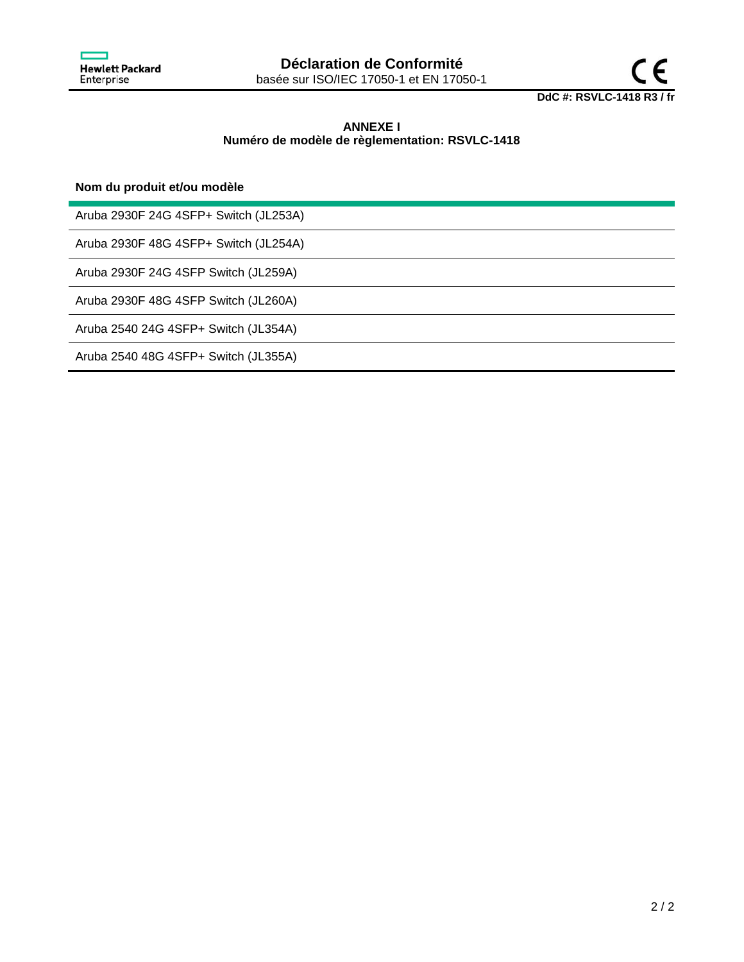



# **ANNEXE I Numéro de modèle de règlementation: RSVLC-1418**

**Nom du produit et/ou modèle**

Aruba 2930F 24G 4SFP+ Switch (JL253A)

Aruba 2930F 48G 4SFP+ Switch (JL254A)

Aruba 2930F 24G 4SFP Switch (JL259A)

Aruba 2930F 48G 4SFP Switch (JL260A)

Aruba 2540 24G 4SFP+ Switch (JL354A)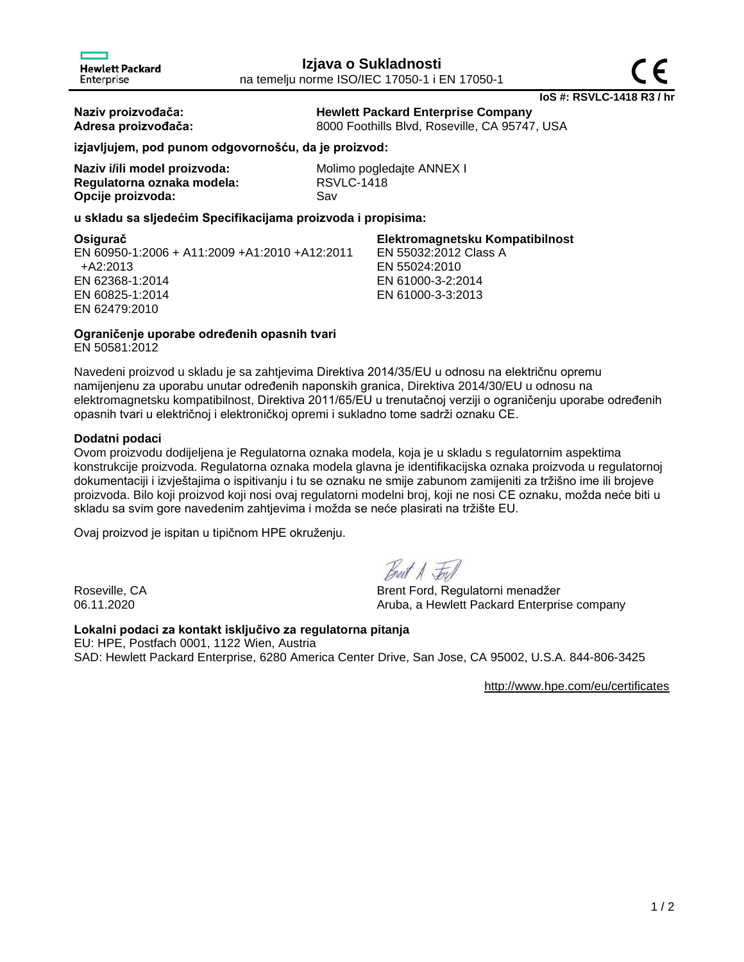**Naziv proizvođača: Hewlett Packard Enterprise Company Adresa proizvođača:** 8000 Foothills Blvd, Roseville, CA 95747, USA

**izjavljujem, pod punom odgovornošću, da je proizvod:**

| Naziv i/ili model proizvoda: | Mol |
|------------------------------|-----|
| Regulatorna oznaka modela:   | RS\ |
| Opcije proizvoda:            | Sav |

**Molimo pogledajte ANNEX I Regulatorna oznaka modela:** RSVLC-1418

## **u skladu sa sljedećim Specifikacijama proizvoda i propisima:**

**Osigurač Elektromagnetsku Kompatibilnost** EN 60950-1:2006 + A11:2009 +A1:2010 +A12:2011 +A2:2013 EN 62368-1:2014 EN 60825-1:2014 EN 62479:2010 EN 55032:2012 Class A EN 55024:2010 EN 61000-3-2:2014 EN 61000-3-3:2013

**Ograničenje uporabe određenih opasnih tvari**

EN 50581:2012

Navedeni proizvod u skladu je sa zahtjevima Direktiva 2014/35/EU u odnosu na električnu opremu namijenjenu za uporabu unutar određenih naponskih granica, Direktiva 2014/30/EU u odnosu na elektromagnetsku kompatibilnost, Direktiva 2011/65/EU u trenutačnoj verziji o ograničenju uporabe određenih opasnih tvari u električnoj i elektroničkoj opremi i sukladno tome sadrži oznaku CE.

## **Dodatni podaci**

Ovom proizvodu dodijeljena je Regulatorna oznaka modela, koja je u skladu s regulatornim aspektima konstrukcije proizvoda. Regulatorna oznaka modela glavna je identifikacijska oznaka proizvoda u regulatornoj dokumentaciji i izvještajima o ispitivanju i tu se oznaku ne smije zabunom zamijeniti za tržišno ime ili brojeve proizvoda. Bilo koji proizvod koji nosi ovaj regulatorni modelni broj, koji ne nosi CE oznaku, možda neće biti u skladu sa svim gore navedenim zahtjevima i možda se neće plasirati na tržište EU.

Ovaj proizvod je ispitan u tipičnom HPE okruženju.

Roseville, CA Brent Ford, Regulatorni menadžer 06.11.2020 **Aruba, a Hewlett Packard Enterprise company** 

## **Lokalni podaci za kontakt isključivo za regulatorna pitanja**

EU: HPE, Postfach 0001, 1122 Wien, Austria SAD: Hewlett Packard Enterprise, 6280 America Center Drive, San Jose, CA 95002, U.S.A. 844-806-3425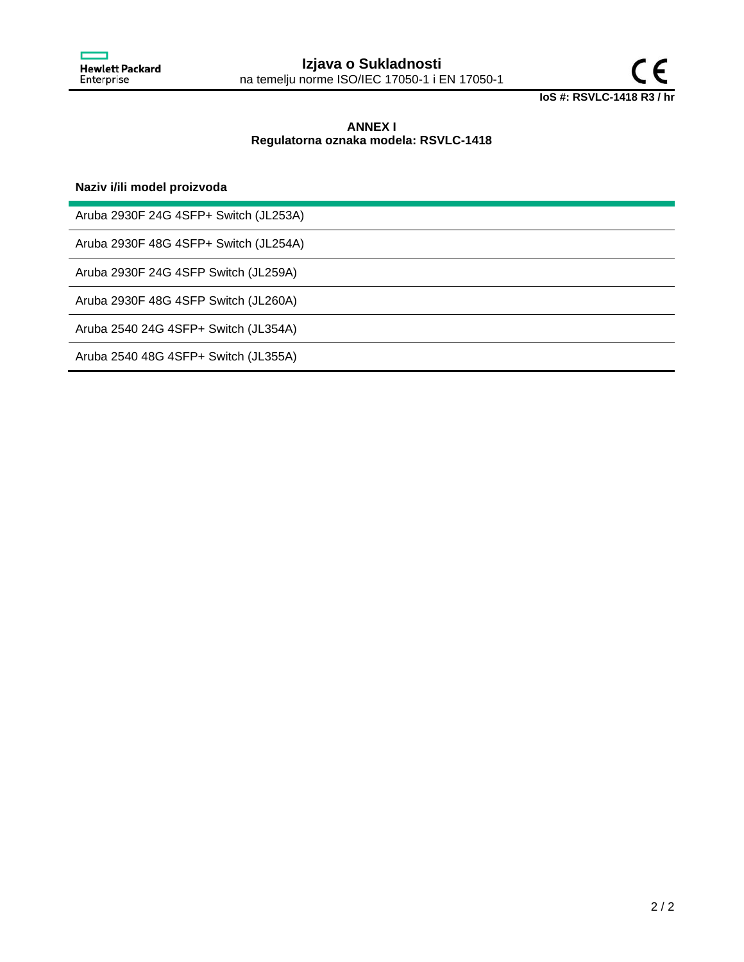

## **ANNEX I Regulatorna oznaka modela: RSVLC-1418**

## **Naziv i/ili model proizvoda**

Aruba 2930F 24G 4SFP+ Switch (JL253A)

Aruba 2930F 48G 4SFP+ Switch (JL254A)

Aruba 2930F 24G 4SFP Switch (JL259A)

Aruba 2930F 48G 4SFP Switch (JL260A)

Aruba 2540 24G 4SFP+ Switch (JL354A)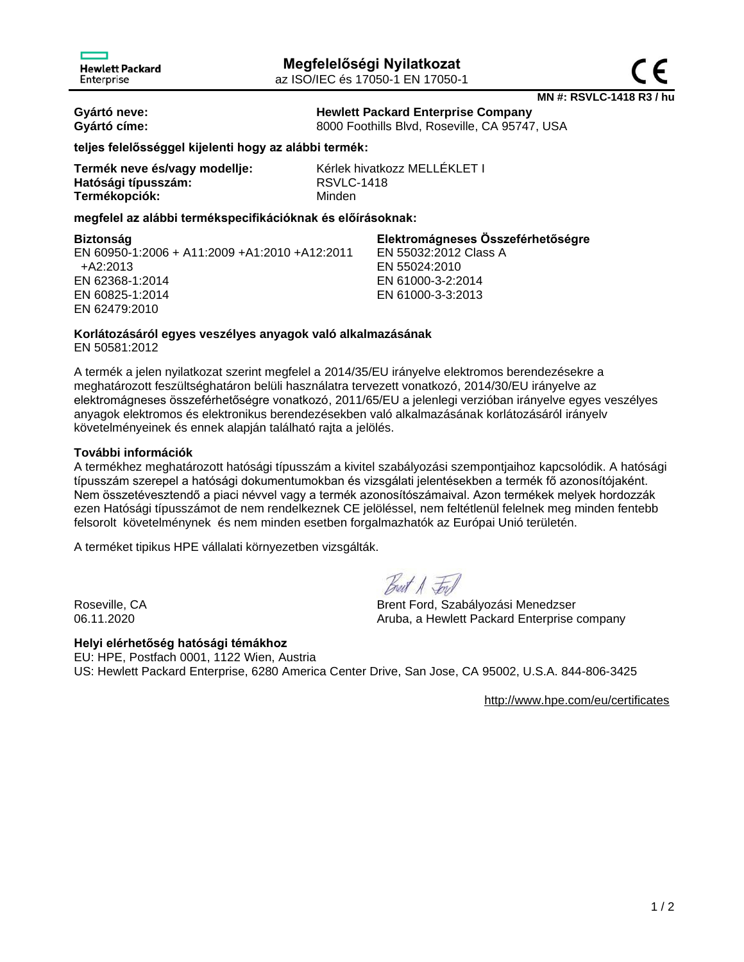

**MN #: RSVLC-1418 R3 / hu**

**Gyártó neve: Hewlett Packard Enterprise Company Gyártó címe:** 8000 Foothills Blvd, Roseville, CA 95747, USA

**teljes felelősséggel kijelenti hogy az alábbi termék:**

| Termék neve és/vagy modellje: |
|-------------------------------|
| Hatósági típusszám:           |
| Termékopciók:                 |

Kérlek hivatkozz MELLÉKLET I **Hatósági típusszám:** RSVLC-1418 **Minden** 

## **megfelel az alábbi termékspecifikációknak és előírásoknak:**

**Biztonság Elektromágneses Összeférhetőségre** EN 60950-1:2006 + A11:2009 +A1:2010 +A12:2011 +A2:2013 EN 62368-1:2014 EN 60825-1:2014 EN 62479:2010 EN 55032:2012 Class A EN 55024:2010 EN 61000-3-2:2014 EN 61000-3-3:2013

# **Korlátozásáról egyes veszélyes anyagok való alkalmazásának**

EN 50581:2012

A termék a jelen nyilatkozat szerint megfelel a 2014/35/EU irányelve elektromos berendezésekre a meghatározott feszültséghatáron belüli használatra tervezett vonatkozó, 2014/30/EU irányelve az elektromágneses összeférhetőségre vonatkozó, 2011/65/EU a jelenlegi verzióban irányelve egyes veszélyes anyagok elektromos és elektronikus berendezésekben való alkalmazásának korlátozásáról irányelv követelményeinek és ennek alapján található rajta a jelölés.

## **További információk**

A termékhez meghatározott hatósági típusszám a kivitel szabályozási szempontjaihoz kapcsolódik. A hatósági típusszám szerepel a hatósági dokumentumokban és vizsgálati jelentésekben a termék fő azonosítójaként. Nem összetévesztendő a piaci névvel vagy a termék azonosítószámaival. Azon termékek melyek hordozzák ezen Hatósági típusszámot de nem rendelkeznek CE jelöléssel, nem feltétlenül felelnek meg minden fentebb felsorolt követelménynek és nem minden esetben forgalmazhatók az Európai Unió területén.

A terméket tipikus HPE vállalati környezetben vizsgálták.

Breat A Ford

Roseville, CA Brent Ford, Szabályozási Menedzser 06.11.2020 Aruba, a Hewlett Packard Enterprise company

**Helyi elérhetőség hatósági témákhoz** EU: HPE, Postfach 0001, 1122 Wien, Austria US: Hewlett Packard Enterprise, 6280 America Center Drive, San Jose, CA 95002, U.S.A. 844-806-3425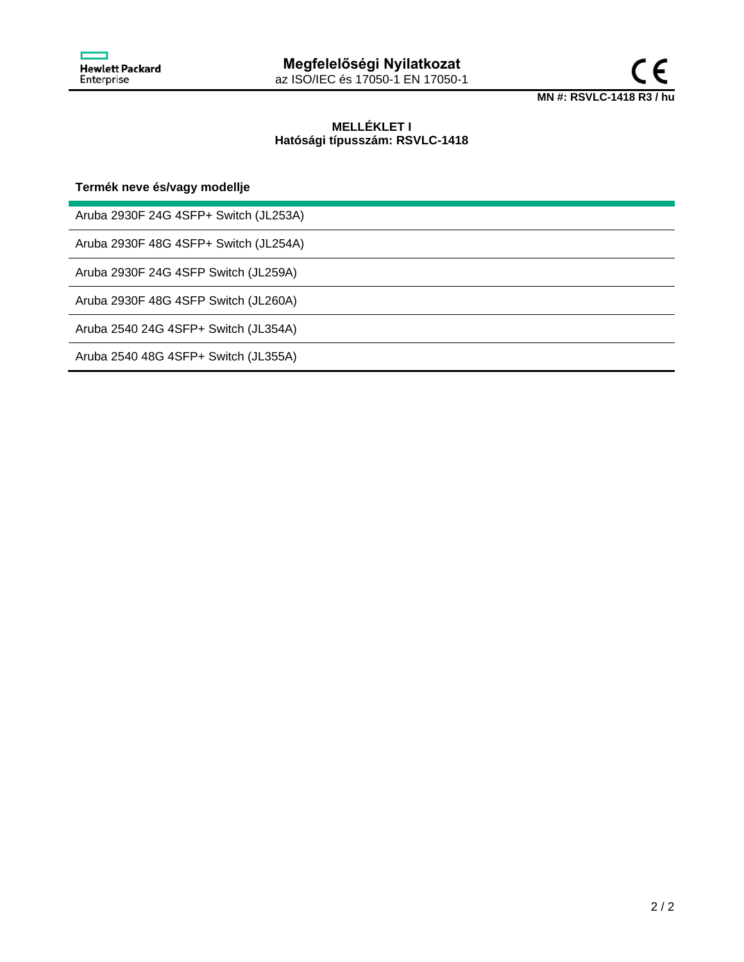



## **MELLÉKLET I Hatósági típusszám: RSVLC-1418**

**Termék neve és/vagy modellje**

Aruba 2930F 24G 4SFP+ Switch (JL253A)

Aruba 2930F 48G 4SFP+ Switch (JL254A)

Aruba 2930F 24G 4SFP Switch (JL259A)

Aruba 2930F 48G 4SFP Switch (JL260A)

Aruba 2540 24G 4SFP+ Switch (JL354A)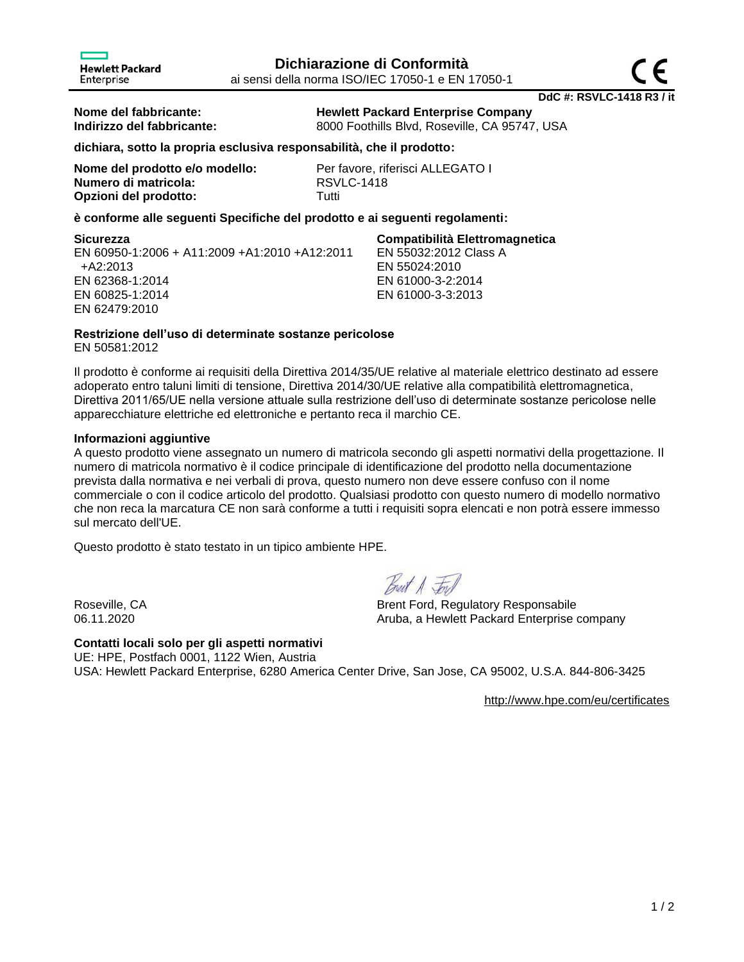**Nome del fabbricante: Hewlett Packard Enterprise Company**

**Indirizzo del fabbricante:** 8000 Foothills Blvd, Roseville, CA 95747, USA

## **dichiara, sotto la propria esclusiva responsabilità, che il prodotto:**

| Nome del prodotto e/o modello: | Per i      |
|--------------------------------|------------|
| Numero di matricola:           | <b>RSV</b> |
| Opzioni del prodotto:          | Tutti      |

Per favore, riferisci ALLEGATO I **Numero di matricola:** RSVLC-1418

## **è conforme alle seguenti Specifiche del prodotto e ai seguenti regolamenti:**

Enterprise

EN 60950-1:2006 + A11:2009 +A1:2010 +A12:2011 +A2:2013 EN 62368-1:2014 EN 60825-1:2014 EN 62479:2010

# **Sicurezza Compatibilità Elettromagnetica**

EN 55032:2012 Class A EN 55024:2010 EN 61000-3-2:2014 EN 61000-3-3:2013

## **Restrizione dell'uso di determinate sostanze pericolose**

EN 50581:2012

Il prodotto è conforme ai requisiti della Direttiva 2014/35/UE relative al materiale elettrico destinato ad essere adoperato entro taluni limiti di tensione, Direttiva 2014/30/UE relative alla compatibilità elettromagnetica, Direttiva 2011/65/UE nella versione attuale sulla restrizione dell'uso di determinate sostanze pericolose nelle apparecchiature elettriche ed elettroniche e pertanto reca il marchio CE.

## **Informazioni aggiuntive**

A questo prodotto viene assegnato un numero di matricola secondo gli aspetti normativi della progettazione. Il numero di matricola normativo è il codice principale di identificazione del prodotto nella documentazione prevista dalla normativa e nei verbali di prova, questo numero non deve essere confuso con il nome commerciale o con il codice articolo del prodotto. Qualsiasi prodotto con questo numero di modello normativo che non reca la marcatura CE non sarà conforme a tutti i requisiti sopra elencati e non potrà essere immesso sul mercato dell'UE.

Questo prodotto è stato testato in un tipico ambiente HPE.

Breat A Ford

Roseville, CA Brent Ford, Regulatory Responsabile 06.11.2020 Aruba, a Hewlett Packard Enterprise company

#### **Contatti locali solo per gli aspetti normativi** UE: HPE, Postfach 0001, 1122 Wien, Austria

USA: Hewlett Packard Enterprise, 6280 America Center Drive, San Jose, CA 95002, U.S.A. 844-806-3425

<http://www.hpe.com/eu/certificates>

**DdC #: RSVLC-1418 R3 / it**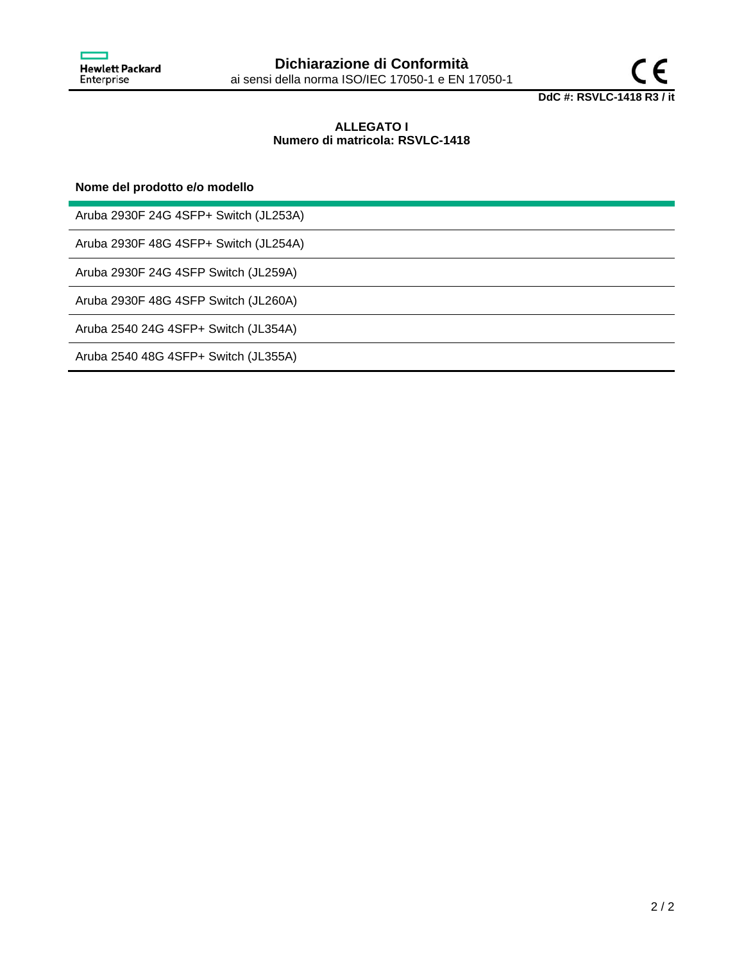

## **ALLEGATO I Numero di matricola: RSVLC-1418**

## **Nome del prodotto e/o modello**

Aruba 2930F 24G 4SFP+ Switch (JL253A)

Aruba 2930F 48G 4SFP+ Switch (JL254A)

Aruba 2930F 24G 4SFP Switch (JL259A)

Aruba 2930F 48G 4SFP Switch (JL260A)

Aruba 2540 24G 4SFP+ Switch (JL354A)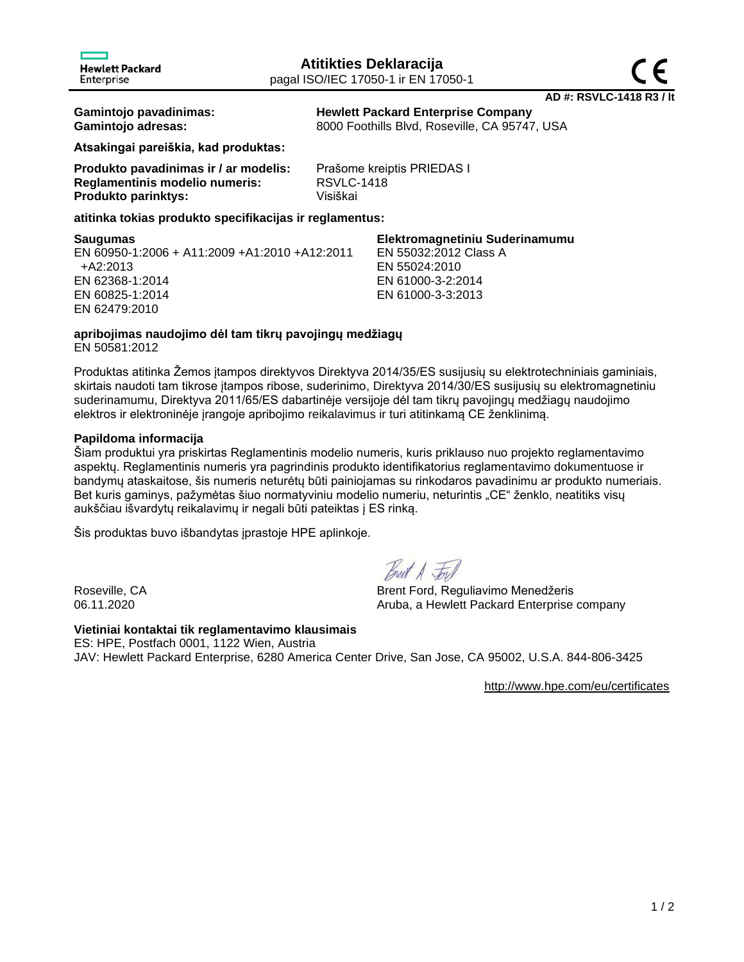**Gamintojo pavadinimas: Hewlett Packard Enterprise Company Gamintojo adresas:** 8000 Foothills Blvd, Roseville, CA 95747, USA

**Atsakingai pareiškia, kad produktas:**

| Produkto pavadinimas ir / ar modelis: | Prašome kreiptis PRIEDAS I |
|---------------------------------------|----------------------------|
| Reglamentinis modelio numeris:        | <b>RSVLC-1418</b>          |
| <b>Produkto parinktys:</b>            | Visiškai                   |

**atitinka tokias produkto specifikacijas ir reglamentus:**

#### **Saugumas Elektromagnetiniu Suderinamumu** EN 60950-1:2006 + A11:2009 +A1:2010 +A12:2011 +A2:2013 EN 62368-1:2014 EN 60825-1:2014 EN 62479:2010 EN 55032:2012 Class A EN 55024:2010 EN 61000-3-2:2014 EN 61000-3-3:2013

# **apribojimas naudojimo dėl tam tikrų pavojingų medžiagų**

EN 50581:2012

Produktas atitinka Žemos įtampos direktyvos Direktyva 2014/35/ES susijusių su elektrotechniniais gaminiais, skirtais naudoti tam tikrose įtampos ribose, suderinimo, Direktyva 2014/30/ES susijusių su elektromagnetiniu suderinamumu, Direktyva 2011/65/ES dabartinėje versijoje dėl tam tikrų pavojingų medžiagų naudojimo elektros ir elektroninėje įrangoje apribojimo reikalavimus ir turi atitinkamą CE ženklinimą.

# **Papildoma informacija**

Šiam produktui yra priskirtas Reglamentinis modelio numeris, kuris priklauso nuo projekto reglamentavimo aspektų. Reglamentinis numeris yra pagrindinis produkto identifikatorius reglamentavimo dokumentuose ir bandymų ataskaitose, šis numeris neturėtų būti painiojamas su rinkodaros pavadinimu ar produkto numeriais. Bet kuris gaminys, pažymėtas šiuo normatyviniu modelio numeriu, neturintis "CE" ženklo, neatitiks visų aukščiau išvardytų reikalavimų ir negali būti pateiktas į ES rinką.

Šis produktas buvo išbandytas įprastoje HPE aplinkoje.

Breat A For

Roseville, CA Brent Ford, Reguliavimo Menedžeris 06.11.2020 **Aruba, a Hewlett Packard Enterprise company** 

# **Vietiniai kontaktai tik reglamentavimo klausimais**

ES: HPE, Postfach 0001, 1122 Wien, Austria JAV: Hewlett Packard Enterprise, 6280 America Center Drive, San Jose, CA 95002, U.S.A. 844-806-3425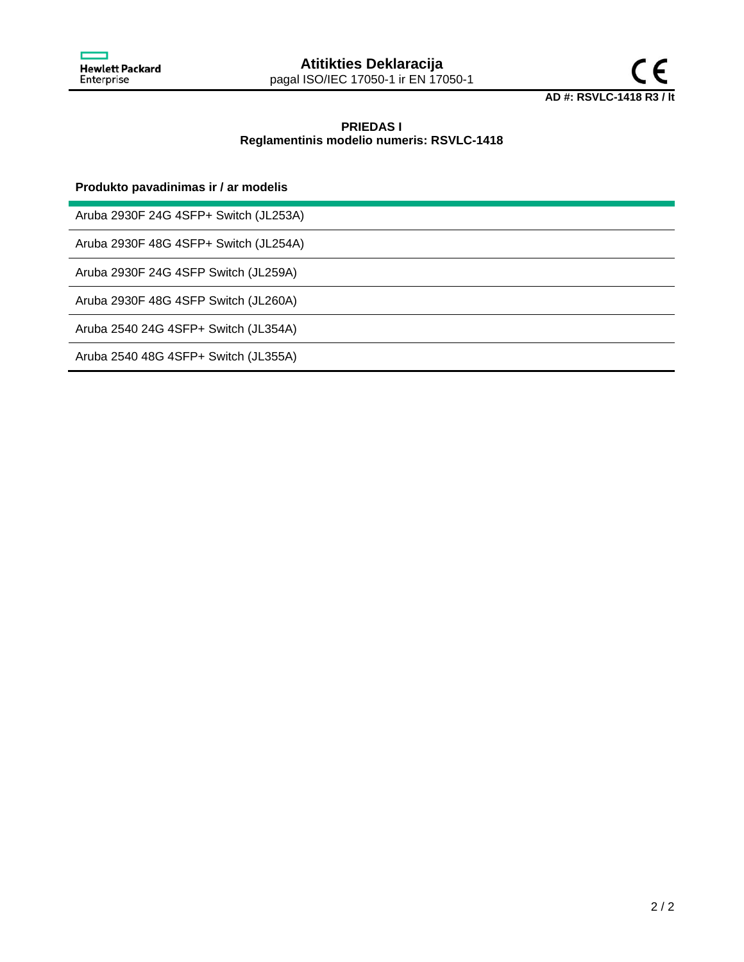



# **PRIEDAS I Reglamentinis modelio numeris: RSVLC-1418**

## **Produkto pavadinimas ir / ar modelis**

Aruba 2930F 24G 4SFP+ Switch (JL253A)

Aruba 2930F 48G 4SFP+ Switch (JL254A)

Aruba 2930F 24G 4SFP Switch (JL259A)

Aruba 2930F 48G 4SFP Switch (JL260A)

Aruba 2540 24G 4SFP+ Switch (JL354A)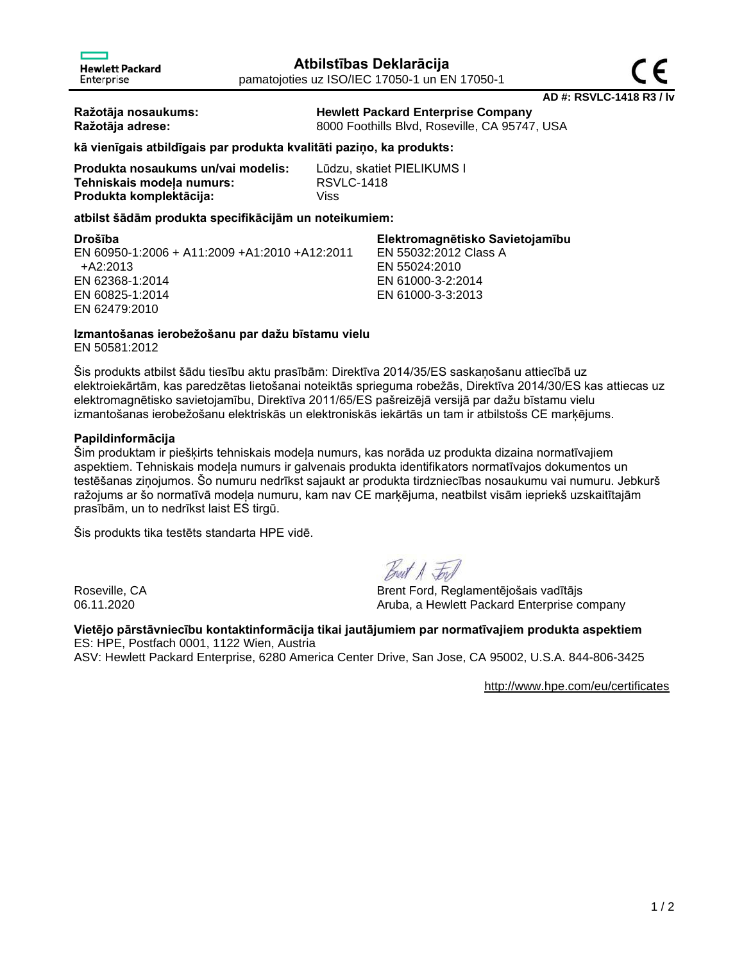**Ražotāja nosaukums: Hewlett Packard Enterprise Company**

**Ražotāja adrese:** 8000 Foothills Blvd, Roseville, CA 95747, USA

# **kā vienīgais atbildīgais par produkta kvalitāti paziņo, ka produkts:**

| Produkta nosaukums un/vai modelis: | Lūdzu, skatiet PIELIKUMS I |
|------------------------------------|----------------------------|
| Tehniskais modeļa numurs:          | <b>RSVLC-1418</b>          |
| Produkta komplektācija:            | Viss                       |

# **atbilst šādām produkta specifikācijām un noteikumiem:**

| Drošība                                       | Elektromagnētisko Savietojamību |
|-----------------------------------------------|---------------------------------|
| EN 60950-1:2006 + A11:2009 +A1:2010 +A12:2011 | EN 55032:2012 Class A           |
| +A2:2013                                      | EN 55024:2010                   |
| EN 62368-1:2014                               | EN 61000-3-2:2014               |
| EN 60825-1:2014                               | EN 61000-3-3:2013               |
| EN 62479:2010                                 |                                 |

# **Izmantošanas ierobežošanu par dažu bīstamu vielu**

EN 50581:2012

Šis produkts atbilst šādu tiesību aktu prasībām: Direktīva 2014/35/ES saskaņošanu attiecībā uz elektroiekārtām, kas paredzētas lietošanai noteiktās sprieguma robežās, Direktīva 2014/30/ES kas attiecas uz elektromagnētisko savietojamību, Direktīva 2011/65/ES pašreizējā versijā par dažu bīstamu vielu izmantošanas ierobežošanu elektriskās un elektroniskās iekārtās un tam ir atbilstošs CE marķējums.

## **Papildinformācija**

Šim produktam ir piešķirts tehniskais modeļa numurs, kas norāda uz produkta dizaina normatīvajiem aspektiem. Tehniskais modeļa numurs ir galvenais produkta identifikators normatīvajos dokumentos un testēšanas ziņojumos. Šo numuru nedrīkst sajaukt ar produkta tirdzniecības nosaukumu vai numuru. Jebkurš ražojums ar šo normatīvā modeļa numuru, kam nav CE marķējuma, neatbilst visām iepriekš uzskaitītajām prasībām, un to nedrīkst laist ES tirgū.

Šis produkts tika testēts standarta HPE vidē.

Roseville, CA Brent Ford, Reglamentējošais vadītājs 06.11.2020 Aruba, a Hewlett Packard Enterprise company

# **Vietējo pārstāvniecību kontaktinformācija tikai jautājumiem par normatīvajiem produkta aspektiem** ES: HPE, Postfach 0001, 1122 Wien, Austria

ASV: Hewlett Packard Enterprise, 6280 America Center Drive, San Jose, CA 95002, U.S.A. 844-806-3425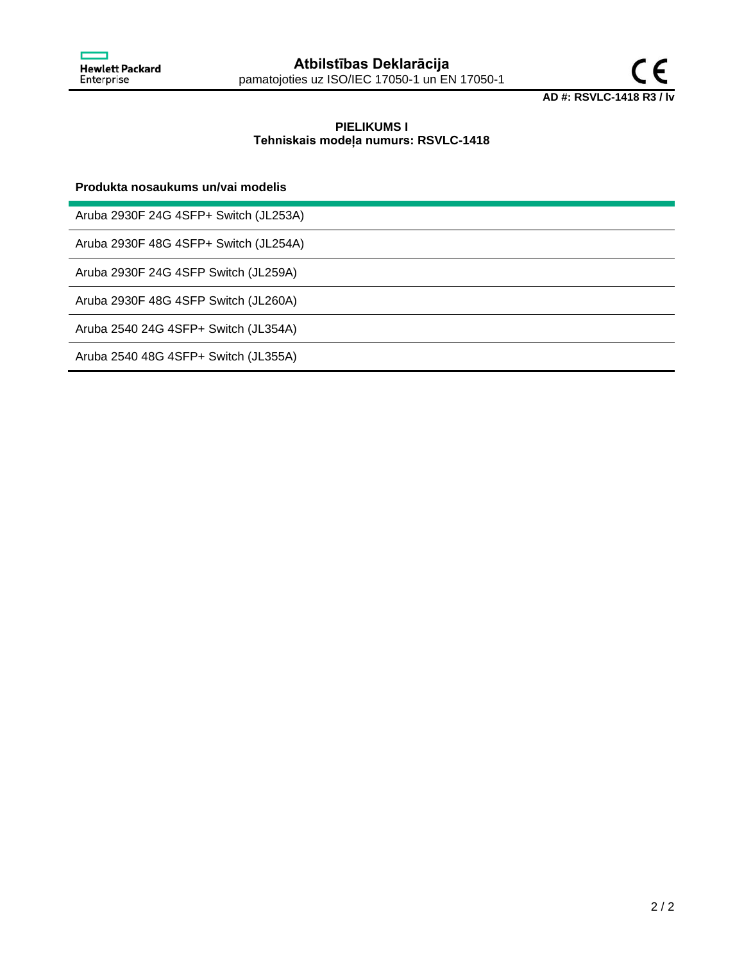

# **PIELIKUMS I Tehniskais modeļa numurs: RSVLC-1418**

## **Produkta nosaukums un/vai modelis**

Aruba 2930F 24G 4SFP+ Switch (JL253A)

Aruba 2930F 48G 4SFP+ Switch (JL254A)

Aruba 2930F 24G 4SFP Switch (JL259A)

Aruba 2930F 48G 4SFP Switch (JL260A)

Aruba 2540 24G 4SFP+ Switch (JL354A)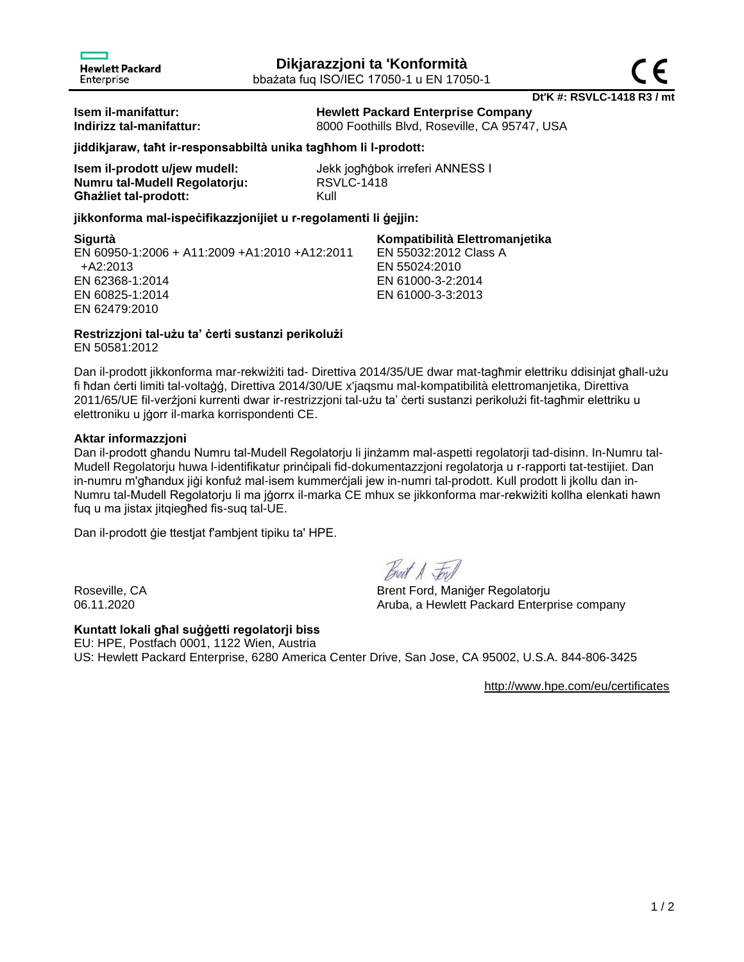**Dt'K #: RSVLC-1418 R3 / mt Isem il-manifattur: Hewlett Packard Enterprise Company**

**Indirizz tal-manifattur:** 8000 Foothills Blvd, Roseville, CA 95747, USA

EN 55032:2012 Class A

EN 55024:2010 EN 61000-3-2:2014 EN 61000-3-3:2013

# **jiddikjaraw, taħt ir-responsabbiltà unika tagħhom li l-prodott:**

| Isem il-prodott u/jew mudell: | Jek             |
|-------------------------------|-----------------|
| Numru tal-Mudell Regolatorju: | RS <sub>\</sub> |
| <b>Ghazliet tal-prodott:</b>  | Kull            |

Jekk jogħġbok irreferi ANNESS I **Numru tal-Mudell Regolatorju:** RSVLC-1418

## **jikkonforma mal-ispeċifikazzjonijiet u r-regolamenti li ġejjin:**

## **Sigurtà Kompatibilità Elettromanjetika**

EN 60950-1:2006 + A11:2009 +A1:2010 +A12:2011 +A2:2013 EN 62368-1:2014 EN 60825-1:2014 EN 62479:2010

**Restrizzjoni tal-użu ta' ċerti sustanzi perikolużi**

EN 50581:2012

Dan il-prodott jikkonforma mar-rekwiżiti tad- Direttiva 2014/35/UE dwar mat-tagħmir elettriku ddisinjat għall-użu fi ħdan ċerti limiti tal-voltaġġ, Direttiva 2014/30/UE x'jaqsmu mal-kompatibilità elettromanjetika, Direttiva 2011/65/UE fil-verżjoni kurrenti dwar ir-restrizzjoni tal-użu ta' ċerti sustanzi perikolużi fit-tagħmir elettriku u elettroniku u jġorr il-marka korrispondenti CE.

## **Aktar informazzjoni**

Dan il-prodott għandu Numru tal-Mudell Regolatorju li jinżamm mal-aspetti regolatorji tad-disinn. In-Numru tal-Mudell Regolatorju huwa l-identifikatur prinċipali fid-dokumentazzjoni regolatorja u r-rapporti tat-testijiet. Dan in-numru m'għandux jiġi konfuż mal-isem kummerċjali jew in-numri tal-prodott. Kull prodott li jkollu dan in-Numru tal-Mudell Regolatorju li ma jġorrx il-marka CE mhux se jikkonforma mar-rekwiżiti kollha elenkati hawn fuq u ma jistax jitqiegħed fis-suq tal-UE.

Dan il-prodott ġie ttestjat f'ambjent tipiku ta' HPE.

# **Kuntatt lokali għal suġġetti regolatorji biss**

Breat A For

Roseville, CA Brent Ford, Maniger Regolatorju 06.11.2020 **Aruba, a Hewlett Packard Enterprise company** 

EU: HPE, Postfach 0001, 1122 Wien, Austria US: Hewlett Packard Enterprise, 6280 America Center Drive, San Jose, CA 95002, U.S.A. 844-806-3425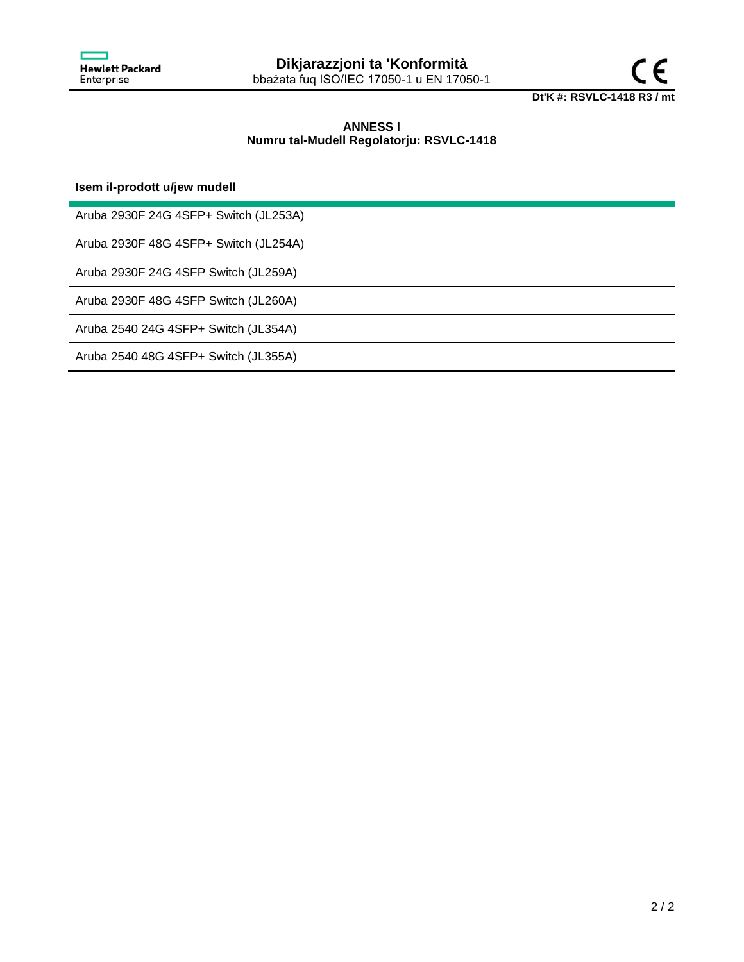

# **ANNESS I Numru tal-Mudell Regolatorju: RSVLC-1418**

**Isem il-prodott u/jew mudell**

Aruba 2930F 24G 4SFP+ Switch (JL253A)

Aruba 2930F 48G 4SFP+ Switch (JL254A)

Aruba 2930F 24G 4SFP Switch (JL259A)

Aruba 2930F 48G 4SFP Switch (JL260A)

Aruba 2540 24G 4SFP+ Switch (JL354A)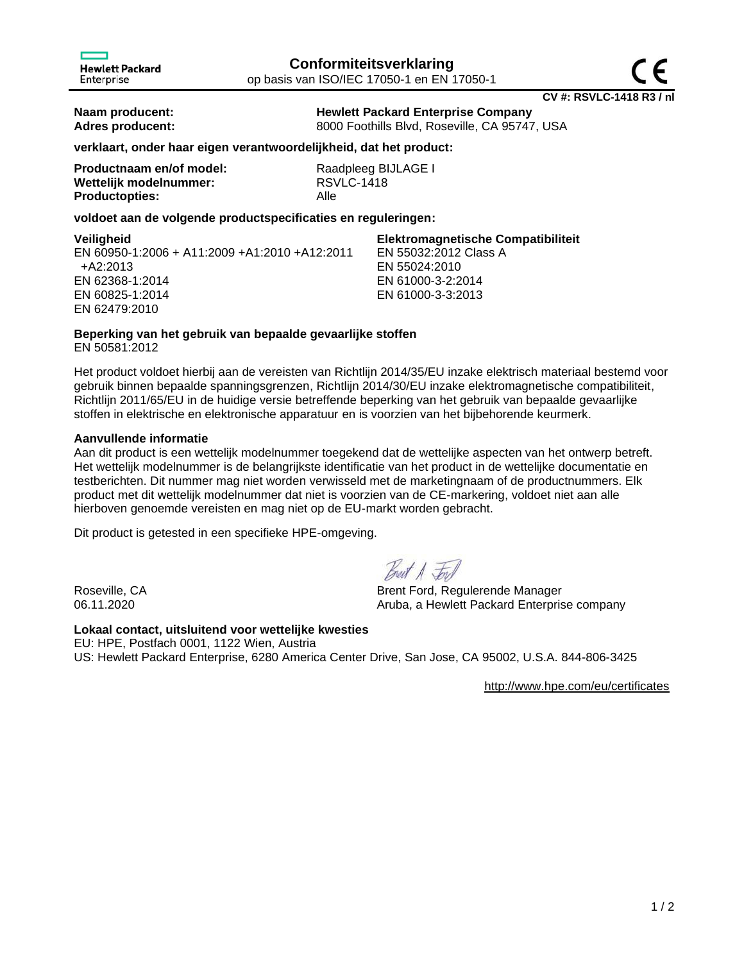**Naam producent: Hewlett Packard Enterprise Company**

**Adres producent:** 8000 Foothills Blvd, Roseville, CA 95747, USA

## **verklaart, onder haar eigen verantwoordelijkheid, dat het product:**

| Productnaam en/of model: | Raadpleeg BIJLAGE I |
|--------------------------|---------------------|
| Wettelijk modelnummer:   | <b>RSVLC-1418</b>   |
| <b>Productopties:</b>    | Alle                |

## **voldoet aan de volgende productspecificaties en reguleringen:**

**Veiligheid Elektromagnetische Compatibiliteit** EN 60950-1:2006 + A11:2009 +A1:2010 +A12:2011 +A2:2013 EN 62368-1:2014 EN 60825-1:2014 EN 62479:2010 EN 55032:2012 Class A EN 55024:2010 EN 61000-3-2:2014 EN 61000-3-3:2013

## **Beperking van het gebruik van bepaalde gevaarlijke stoffen**

EN 50581:2012

Het product voldoet hierbij aan de vereisten van Richtlijn 2014/35/EU inzake elektrisch materiaal bestemd voor gebruik binnen bepaalde spanningsgrenzen, Richtlijn 2014/30/EU inzake elektromagnetische compatibiliteit, Richtlijn 2011/65/EU in de huidige versie betreffende beperking van het gebruik van bepaalde gevaarlijke stoffen in elektrische en elektronische apparatuur en is voorzien van het bijbehorende keurmerk.

## **Aanvullende informatie**

Aan dit product is een wettelijk modelnummer toegekend dat de wettelijke aspecten van het ontwerp betreft. Het wettelijk modelnummer is de belangrijkste identificatie van het product in de wettelijke documentatie en testberichten. Dit nummer mag niet worden verwisseld met de marketingnaam of de productnummers. Elk product met dit wettelijk modelnummer dat niet is voorzien van de CE-markering, voldoet niet aan alle hierboven genoemde vereisten en mag niet op de EU-markt worden gebracht.

Dit product is getested in een specifieke HPE-omgeving.

Roseville, CA Brent Ford, Regulerende Manager 06.11.2020 **Aruba, a Hewlett Packard Enterprise company** 

## **Lokaal contact, uitsluitend voor wettelijke kwesties**

EU: HPE, Postfach 0001, 1122 Wien, Austria US: Hewlett Packard Enterprise, 6280 America Center Drive, San Jose, CA 95002, U.S.A. 844-806-3425

<http://www.hpe.com/eu/certificates>

**CV #: RSVLC-1418 R3 / nl**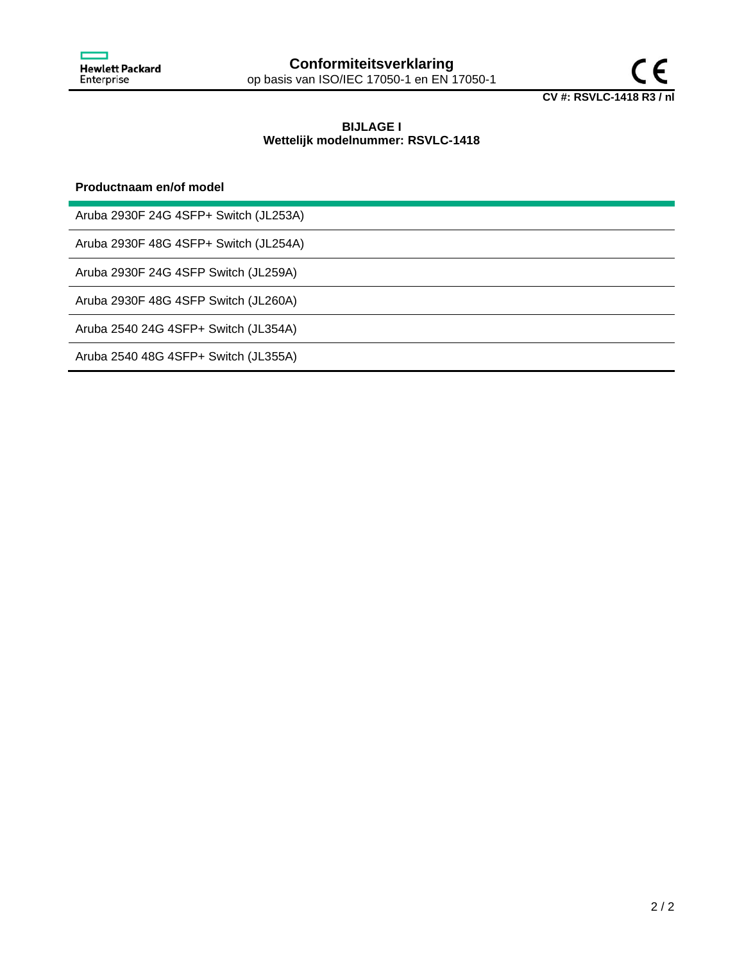

## **BIJLAGE I Wettelijk modelnummer: RSVLC-1418**

## **Productnaam en/of model**

Aruba 2930F 24G 4SFP+ Switch (JL253A)

Aruba 2930F 48G 4SFP+ Switch (JL254A)

Aruba 2930F 24G 4SFP Switch (JL259A)

Aruba 2930F 48G 4SFP Switch (JL260A)

Aruba 2540 24G 4SFP+ Switch (JL354A)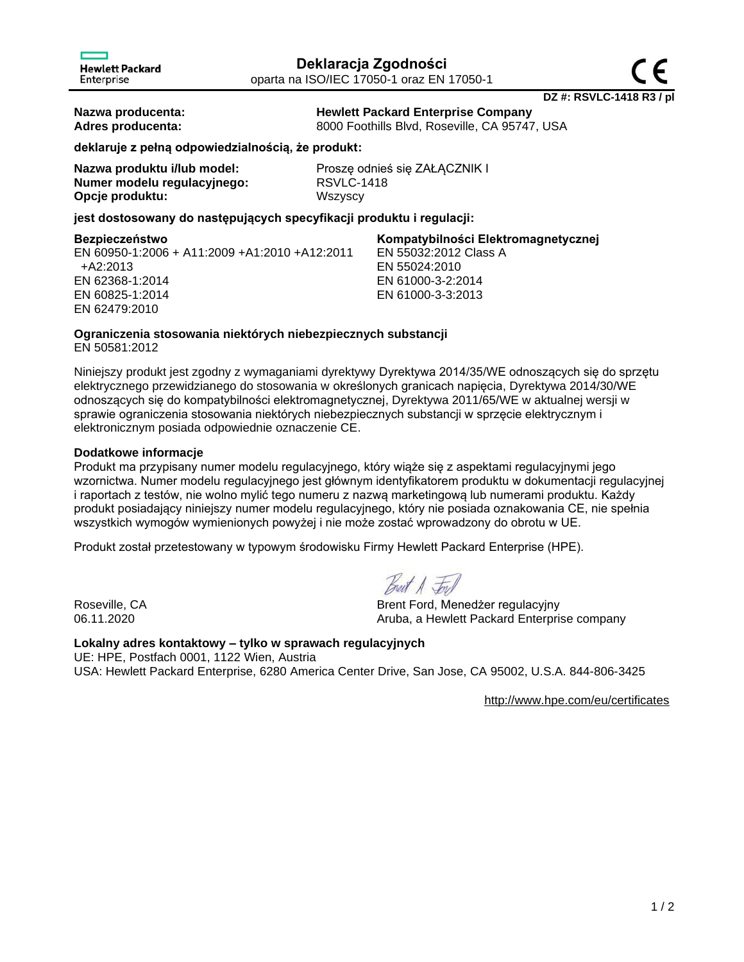**Nazwa producenta: Hewlett Packard Enterprise Company Adres producenta:** 8000 Foothills Blvd, Roseville, CA 95747, USA

**deklaruje z pełną odpowiedzialnością, że produkt:**

| Nazwa produktu i/lub model: |
|-----------------------------|
| Numer modelu regulacyjnego: |
| Opcje produktu:             |

Proszę odnieś się ZAŁĄCZNIK I **Numer modelu regulacyjnego:** RSVLC-1418 **Opcje produktu:** Wszyscy

**jest dostosowany do następujących specyfikacji produktu i regulacji:**

EN 60950-1:2006 + A11:2009 +A1:2010 +A12:2011 +A2:2013 EN 62368-1:2014 EN 60825-1:2014 EN 62479:2010

## **Bezpieczeństwo Kompatybilności Elektromagnetycznej** EN 55032:2012 Class A EN 55024:2010 EN 61000-3-2:2014 EN 61000-3-3:2013

# **Ograniczenia stosowania niektórych niebezpiecznych substancji**

EN 50581:2012

Niniejszy produkt jest zgodny z wymaganiami dyrektywy Dyrektywa 2014/35/WE odnoszących się do sprzętu elektrycznego przewidzianego do stosowania w określonych granicach napięcia, Dyrektywa 2014/30/WE odnoszących się do kompatybilności elektromagnetycznej, Dyrektywa 2011/65/WE w aktualnej wersji w sprawie ograniczenia stosowania niektórych niebezpiecznych substancji w sprzęcie elektrycznym i elektronicznym posiada odpowiednie oznaczenie CE.

# **Dodatkowe informacje**

Produkt ma przypisany numer modelu regulacyjnego, który wiąże się z aspektami regulacyjnymi jego wzornictwa. Numer modelu regulacyjnego jest głównym identyfikatorem produktu w dokumentacji regulacyjnej i raportach z testów, nie wolno mylić tego numeru z nazwą marketingową lub numerami produktu. Każdy produkt posiadający niniejszy numer modelu regulacyjnego, który nie posiada oznakowania CE, nie spełnia wszystkich wymogów wymienionych powyżej i nie może zostać wprowadzony do obrotu w UE.

Produkt został przetestowany w typowym środowisku Firmy Hewlett Packard Enterprise (HPE).

Breat A Ford

Roseville, CA Brent Ford, Menedżer regulacyjny 06.11.2020 Aruba, a Hewlett Packard Enterprise company

## **Lokalny adres kontaktowy – tylko w sprawach regulacyjnych** UE: HPE, Postfach 0001, 1122 Wien, Austria USA: Hewlett Packard Enterprise, 6280 America Center Drive, San Jose, CA 95002, U.S.A. 844-806-3425

<http://www.hpe.com/eu/certificates>

**DZ #: RSVLC-1418 R3 / pl**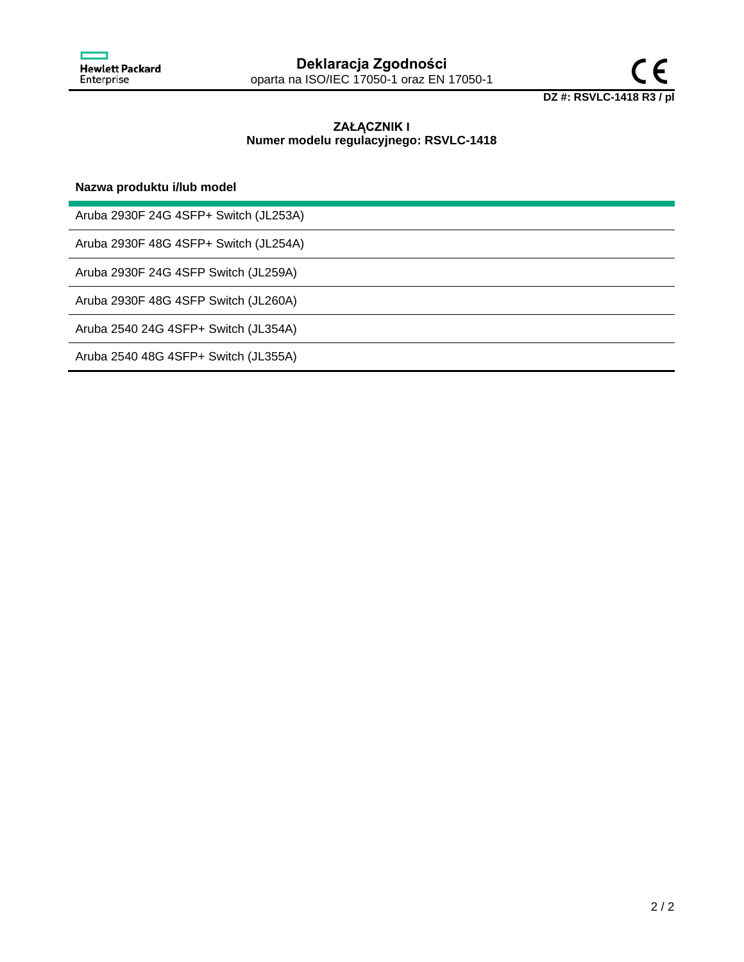

# **ZAŁĄCZNIK I Numer modelu regulacyjnego: RSVLC-1418**

## **Nazwa produktu i/lub model**

Aruba 2930F 24G 4SFP+ Switch (JL253A)

Aruba 2930F 48G 4SFP+ Switch (JL254A)

Aruba 2930F 24G 4SFP Switch (JL259A)

Aruba 2930F 48G 4SFP Switch (JL260A)

Aruba 2540 24G 4SFP+ Switch (JL354A)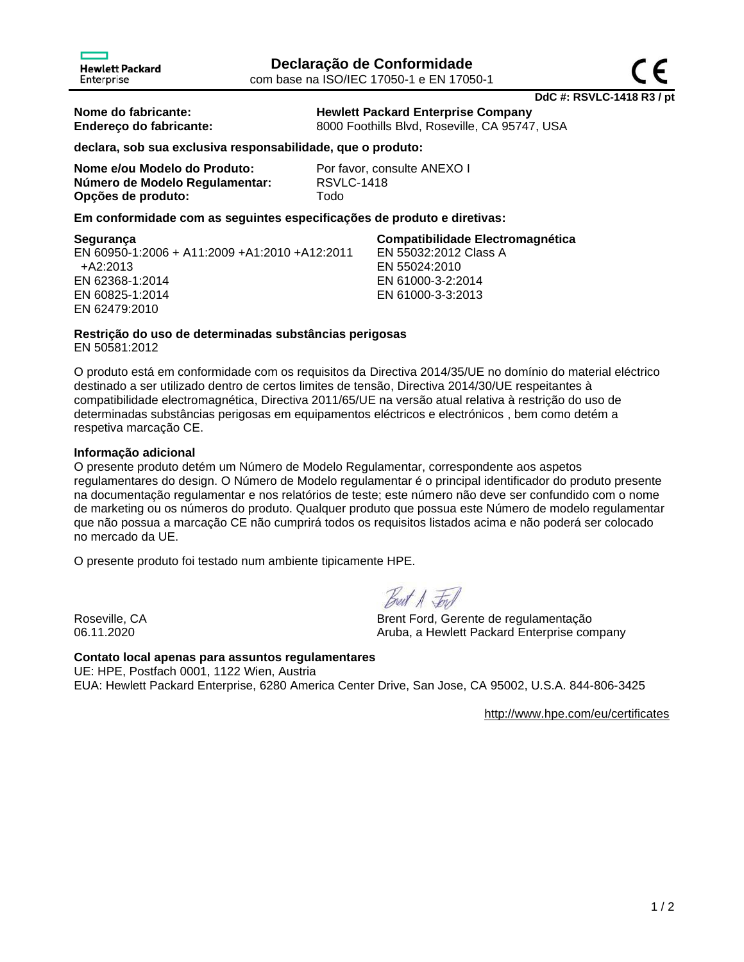**DdC #: RSVLC-1418 R3 / pt**

**Nome do fabricante: Hewlett Packard Enterprise Company Endereço do fabricante:** 8000 Foothills Blvd, Roseville, CA 95747, USA

**declara, sob sua exclusiva responsabilidade, que o produto:**

**Nome e/ou Modelo do Produto:** Por favor, consulte ANEXO I **Número de Modelo Regulamentar:** RSVLC-1418 **Opções de produto:** Todo

**Em conformidade com as seguintes especificações de produto e diretivas:**

EN 60950-1:2006 + A11:2009 +A1:2010 +A12:2011 +A2:2013 EN 62368-1:2014 EN 60825-1:2014 EN 62479:2010

**Segurança Compatibilidade Electromagnética** EN 55032:2012 Class A EN 55024:2010 EN 61000-3-2:2014 EN 61000-3-3:2013

# **Restrição do uso de determinadas substâncias perigosas**

EN 50581:2012

O produto está em conformidade com os requisitos da Directiva 2014/35/UE no domínio do material eléctrico destinado a ser utilizado dentro de certos limites de tensão, Directiva 2014/30/UE respeitantes à compatibilidade electromagnética, Directiva 2011/65/UE na versão atual relativa à restrição do uso de determinadas substâncias perigosas em equipamentos eléctricos e electrónicos , bem como detém a respetiva marcação CE.

# **Informação adicional**

O presente produto detém um Número de Modelo Regulamentar, correspondente aos aspetos regulamentares do design. O Número de Modelo regulamentar é o principal identificador do produto presente na documentação regulamentar e nos relatórios de teste; este número não deve ser confundido com o nome de marketing ou os números do produto. Qualquer produto que possua este Número de modelo regulamentar que não possua a marcação CE não cumprirá todos os requisitos listados acima e não poderá ser colocado no mercado da UE.

O presente produto foi testado num ambiente tipicamente HPE.

Best A For

Roseville, CA Brent Ford, Gerente de regulamentação 06.11.2020 **CONFERGATE:** Aruba, a Hewlett Packard Enterprise company

**Contato local apenas para assuntos regulamentares** UE: HPE, Postfach 0001, 1122 Wien, Austria EUA: Hewlett Packard Enterprise, 6280 America Center Drive, San Jose, CA 95002, U.S.A. 844-806-3425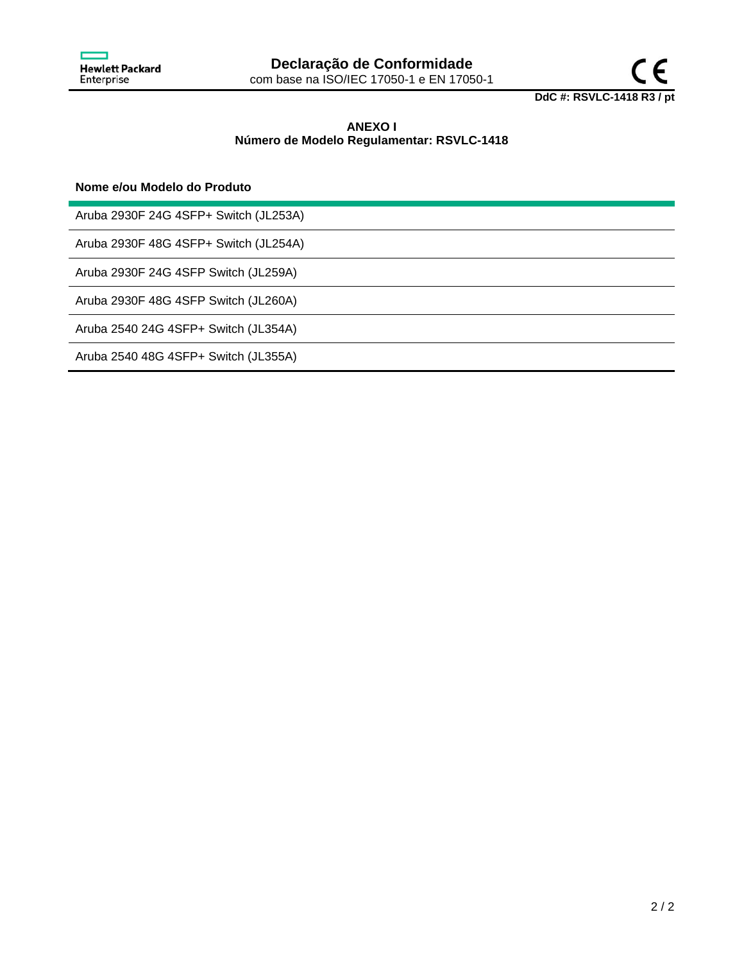



# **ANEXO I Número de Modelo Regulamentar: RSVLC-1418**

## **Nome e/ou Modelo do Produto**

Aruba 2930F 24G 4SFP+ Switch (JL253A)

Aruba 2930F 48G 4SFP+ Switch (JL254A)

Aruba 2930F 24G 4SFP Switch (JL259A)

Aruba 2930F 48G 4SFP Switch (JL260A)

Aruba 2540 24G 4SFP+ Switch (JL354A)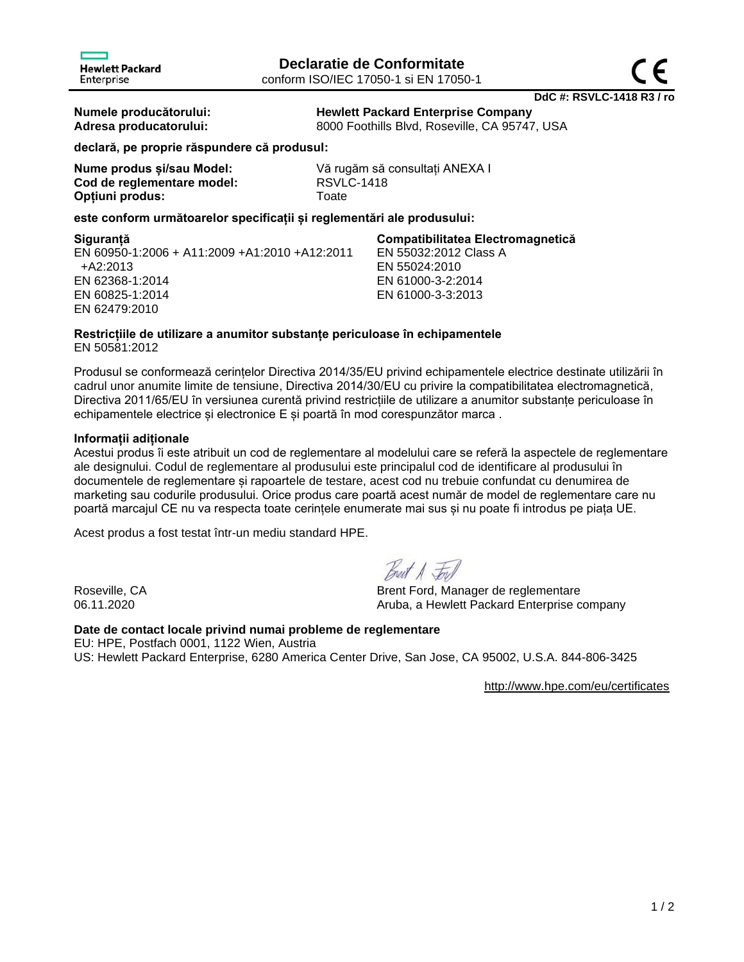**Numele producătorului: Hewlett Packard Enterprise Company Adresa producatorului:** 8000 Foothills Blvd, Roseville, CA 95747, USA

EN 55032:2012 Class A

EN 55024:2010 EN 61000-3-2:2014 EN 61000-3-3:2013

**declară, pe proprie răspundere că produsul:**

| Nume produs și/sau Model:  | Vă ru       |
|----------------------------|-------------|
| Cod de reglementare model: | <b>RSVL</b> |
| Optiuni produs:            | Toate       |

Vă rugăm să consultați ANEXA I **Cod de reglementare model:** RSVLC-1418

**este conform următoarelor specificații și reglementări ale produsului:**

### **Siguranță Compatibilitatea Electromagnetică**

EN 60950-1:2006 + A11:2009 +A1:2010 +A12:2011 +A2:2013 EN 62368-1:2014 EN 60825-1:2014 EN 62479:2010

## **Restricțiile de utilizare a anumitor substanțe periculoase în echipamentele** EN 50581:2012

Produsul se conformează cerințelor Directiva 2014/35/EU privind echipamentele electrice destinate utilizării în cadrul unor anumite limite de tensiune, Directiva 2014/30/EU cu privire la compatibilitatea electromagnetică, Directiva 2011/65/EU în versiunea curentă privind restricțiile de utilizare a anumitor substanțe periculoase în echipamentele electrice și electronice E și poartă în mod corespunzător marca.

## **Informații adiționale**

Acestui produs îi este atribuit un cod de reglementare al modelului care se referă la aspectele de reglementare ale designului. Codul de reglementare al produsului este principalul cod de identificare al produsului în documentele de reglementare și rapoartele de testare, acest cod nu trebuie confundat cu denumirea de marketing sau codurile produsului. Orice produs care poartă acest număr de model de reglementare care nu poartă marcajul CE nu va respecta toate cerințele enumerate mai sus și nu poate fi introdus pe piața UE.

Acest produs a fost testat într-un mediu standard HPE.

Breat A Ford

Roseville, CA Brent Ford, Manager de reglementare 06.11.2020 **Aruba, a Hewlett Packard Enterprise company** 

# **Date de contact locale privind numai probleme de reglementare**

EU: HPE, Postfach 0001, 1122 Wien, Austria US: Hewlett Packard Enterprise, 6280 America Center Drive, San Jose, CA 95002, U.S.A. 844-806-3425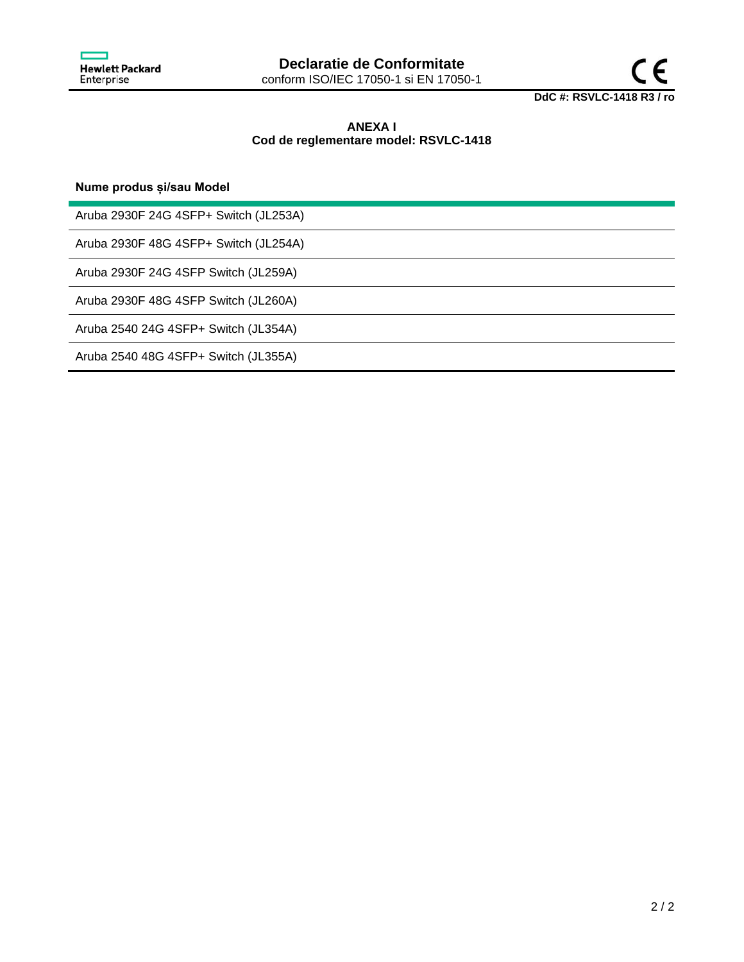

# **ANEXA I Cod de reglementare model: RSVLC-1418**

**Nume produs și/sau Model**

Aruba 2930F 24G 4SFP+ Switch (JL253A)

Aruba 2930F 48G 4SFP+ Switch (JL254A)

Aruba 2930F 24G 4SFP Switch (JL259A)

Aruba 2930F 48G 4SFP Switch (JL260A)

Aruba 2540 24G 4SFP+ Switch (JL354A)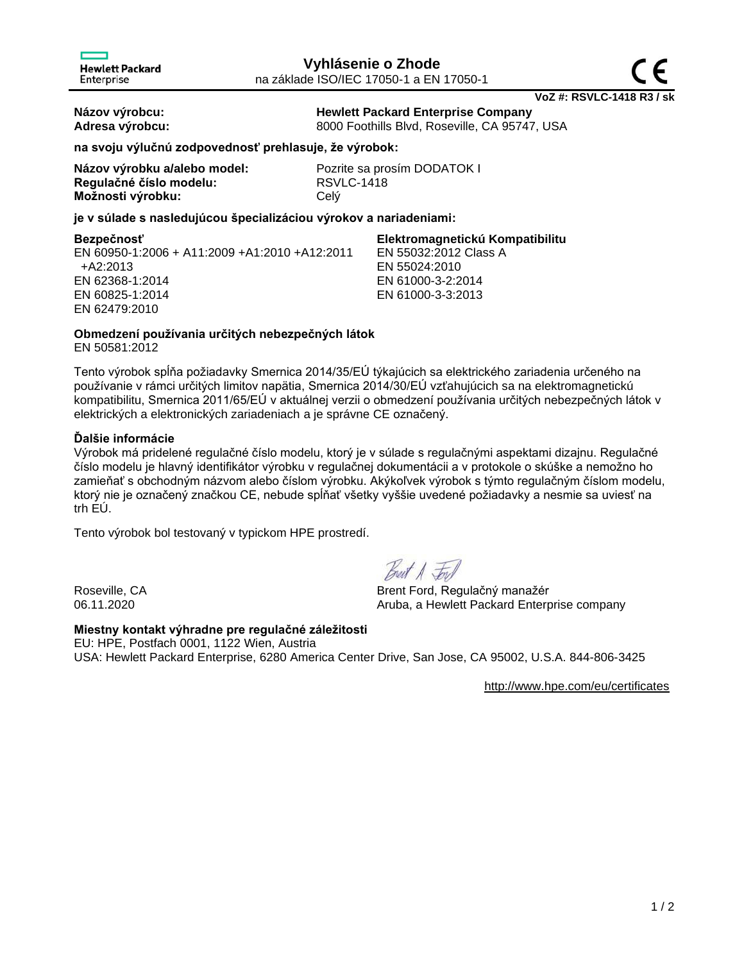**Názov výrobcu: Hewlett Packard Enterprise Company** Adresa výrobcu: **8000 Foothills Blvd, Roseville, CA 95747, USA** 

EN 55032:2012 Class A

EN 55024:2010 EN 61000-3-2:2014 EN 61000-3-3:2013

**na svoju výlučnú zodpovednosť prehlasuje, že výrobok:**

| Názov výrobku a/alebo model: | Pozr       |
|------------------------------|------------|
| Regulačné číslo modelu:      | <b>RSV</b> |
| Možnosti výrobku:            | Celý       |

Pozrite sa prosím DODATOK I **Regulačné číslo modelu:** RSVLC-1418

**je v súlade s nasledujúcou špecializáciou výrokov a nariadeniami:**

**Bezpečnosť Elektromagnetickú Kompatibilitu**

EN 60950-1:2006 + A11:2009 +A1:2010 +A12:2011 +A2:2013 EN 62368-1:2014 EN 60825-1:2014 EN 62479:2010

**Obmedzení používania určitých nebezpečných látok**

EN 50581:2012

Tento výrobok spĺňa požiadavky Smernica 2014/35/EÚ týkajúcich sa elektrického zariadenia určeného na používanie v rámci určitých limitov napätia, Smernica 2014/30/EÚ vzťahujúcich sa na elektromagnetickú kompatibilitu, Smernica 2011/65/EÚ v aktuálnej verzii o obmedzení používania určitých nebezpečných látok v elektrických a elektronických zariadeniach a je správne CE označený.

# **Ďalšie informácie**

Výrobok má pridelené regulačné číslo modelu, ktorý je v súlade s regulačnými aspektami dizajnu. Regulačné číslo modelu je hlavný identifikátor výrobku v regulačnej dokumentácii a v protokole o skúške a nemožno ho zamieňať s obchodným názvom alebo číslom výrobku. Akýkoľvek výrobok s týmto regulačným číslom modelu, ktorý nie je označený značkou CE, nebude spĺňať všetky vyššie uvedené požiadavky a nesmie sa uviesť na trh EÚ.

Tento výrobok bol testovaný v typickom HPE prostredí.

Breat A For

Roseville, CA Brent Ford, Regulačný manažér 06.11.2020 **Aruba, a Hewlett Packard Enterprise company** 

# **Miestny kontakt výhradne pre regulačné záležitosti**

EU: HPE, Postfach 0001, 1122 Wien, Austria USA: Hewlett Packard Enterprise, 6280 America Center Drive, San Jose, CA 95002, U.S.A. 844-806-3425

<http://www.hpe.com/eu/certificates>

**VoZ #: RSVLC-1418 R3 / sk**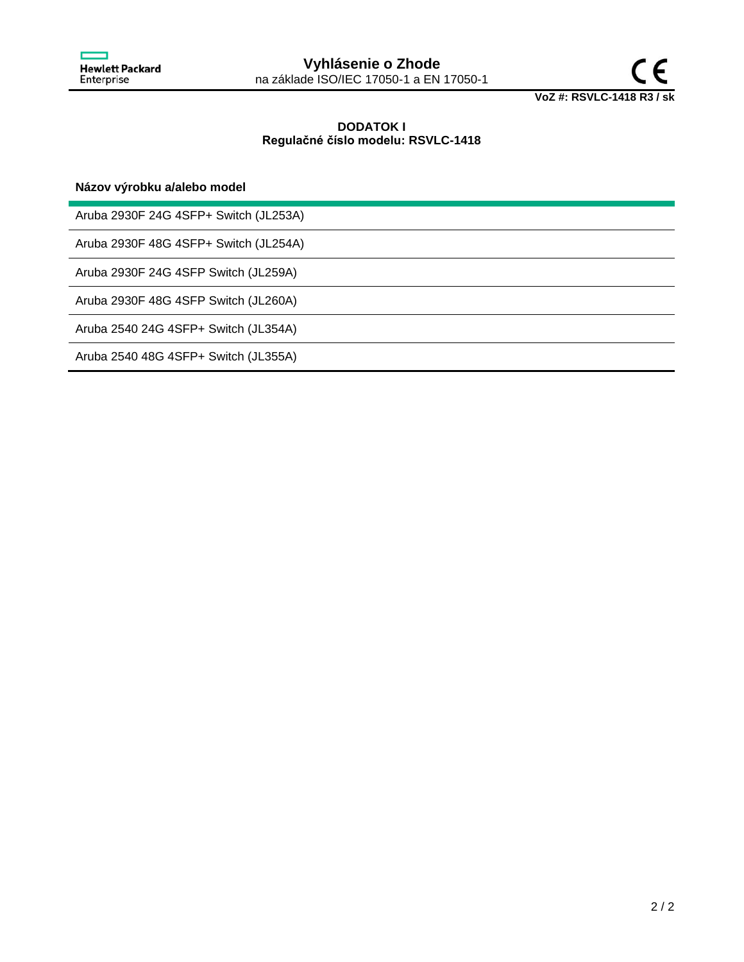

# **DODATOK I Regulačné číslo modelu: RSVLC-1418**

**Názov výrobku a/alebo model**

Aruba 2930F 24G 4SFP+ Switch (JL253A)

Aruba 2930F 48G 4SFP+ Switch (JL254A)

Aruba 2930F 24G 4SFP Switch (JL259A)

Aruba 2930F 48G 4SFP Switch (JL260A)

Aruba 2540 24G 4SFP+ Switch (JL354A)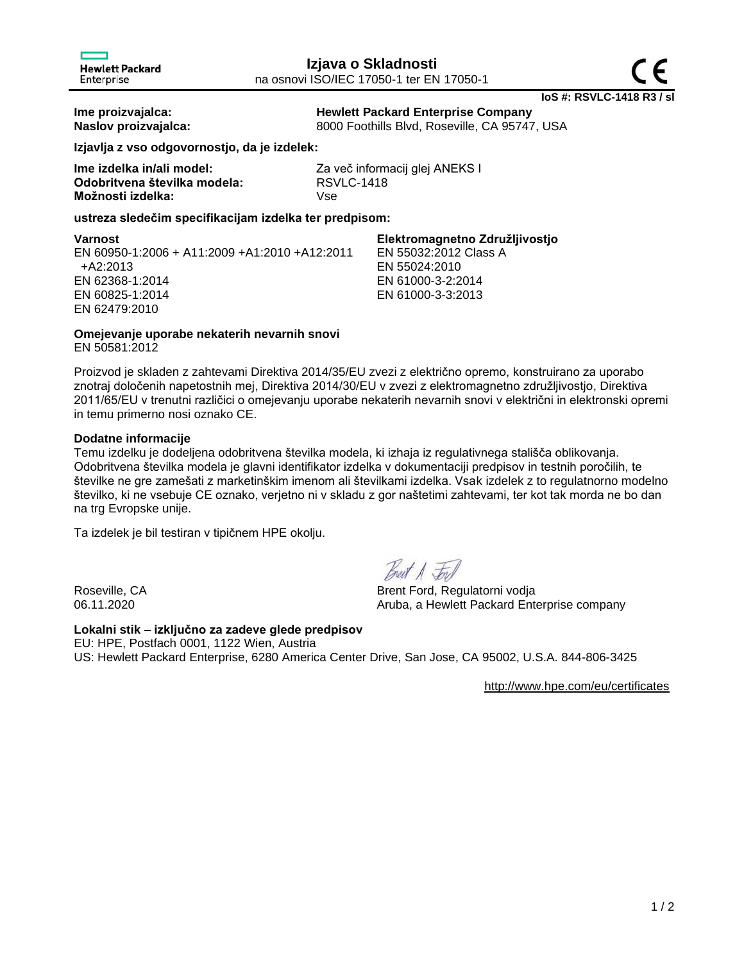**Ime proizvajalca: Hewlett Packard Enterprise Company Naslov proizvajalca:** 8000 Foothills Blvd, Roseville, CA 95747, USA

**Izjavlja z vso odgovornostjo, da je izdelek:**

| lme izdelka in/ali model:    | Za v |
|------------------------------|------|
| Odobritvena številka modela: | RS)  |
| Možnosti izdelka:            | Vse  |

Za več informacij glej ANEKS I **Odobritvena številka modela:** RSVLC-1418

## **ustreza sledečim specifikacijam izdelka ter predpisom:**

| Varnost                                       | Elektromagnetno Združljivostjo |
|-----------------------------------------------|--------------------------------|
| EN 60950-1:2006 + A11:2009 +A1:2010 +A12:2011 | EN 55032:2012 Class A          |
| +A2:2013                                      | EN 55024:2010                  |
| EN 62368-1:2014                               | EN 61000-3-2:2014              |
| EN 60825-1:2014                               | EN 61000-3-3:2013              |
| EN 62479:2010                                 |                                |

# **Omejevanje uporabe nekaterih nevarnih snovi**

EN 50581:2012

Proizvod je skladen z zahtevami Direktiva 2014/35/EU zvezi z električno opremo, konstruirano za uporabo znotraj določenih napetostnih mej, Direktiva 2014/30/EU v zvezi z elektromagnetno združljivostjo, Direktiva 2011/65/EU v trenutni različici o omejevanju uporabe nekaterih nevarnih snovi v električni in elektronski opremi in temu primerno nosi oznako CE.

# **Dodatne informacije**

Temu izdelku je dodeljena odobritvena številka modela, ki izhaja iz regulativnega stališča oblikovanja. Odobritvena številka modela je glavni identifikator izdelka v dokumentaciji predpisov in testnih poročilih, te številke ne gre zamešati z marketinškim imenom ali številkami izdelka. Vsak izdelek z to regulatnorno modelno številko, ki ne vsebuje CE oznako, verjetno ni v skladu z gor naštetimi zahtevami, ter kot tak morda ne bo dan na trg Evropske unije.

Ta izdelek je bil testiran v tipičnem HPE okolju.

Breat A For

Roseville, CA Brent Ford, Regulatorni vodia 06.11.2020 **CONFIDENTIAL CONTROLLER ARRIVALE ARRIVAL Aruba, a Hewlett Packard Enterprise company** 

# **Lokalni stik – izključno za zadeve glede predpisov** EU: HPE, Postfach 0001, 1122 Wien, Austria

US: Hewlett Packard Enterprise, 6280 America Center Drive, San Jose, CA 95002, U.S.A. 844-806-3425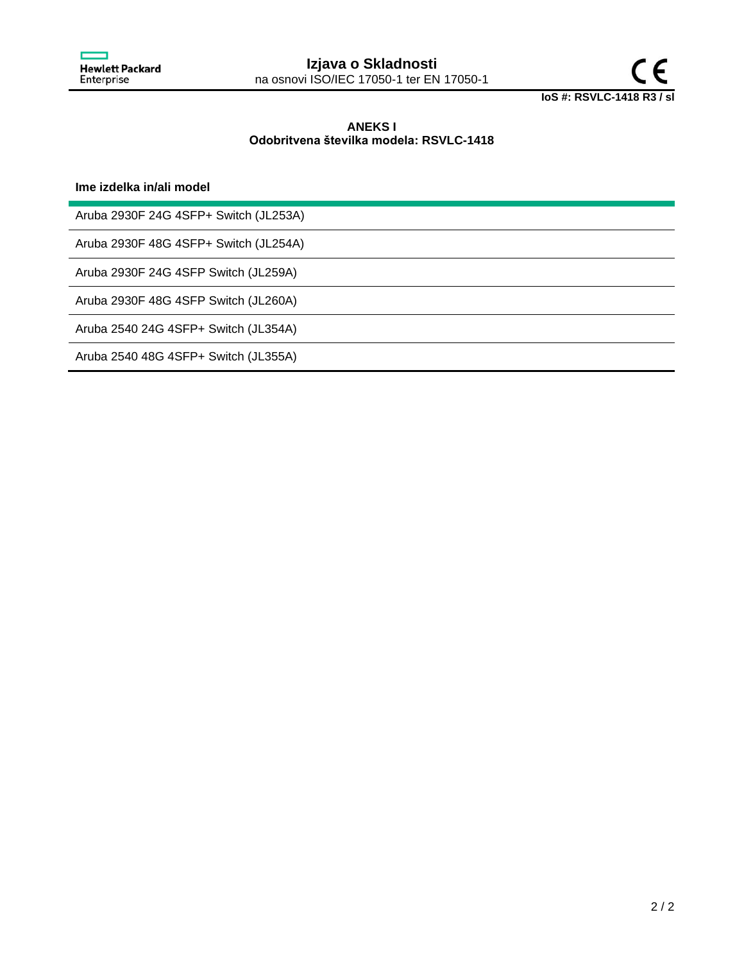

## **ANEKS I Odobritvena številka modela: RSVLC-1418**

**Ime izdelka in/ali model**

Aruba 2930F 24G 4SFP+ Switch (JL253A)

Aruba 2930F 48G 4SFP+ Switch (JL254A)

Aruba 2930F 24G 4SFP Switch (JL259A)

Aruba 2930F 48G 4SFP Switch (JL260A)

Aruba 2540 24G 4SFP+ Switch (JL354A)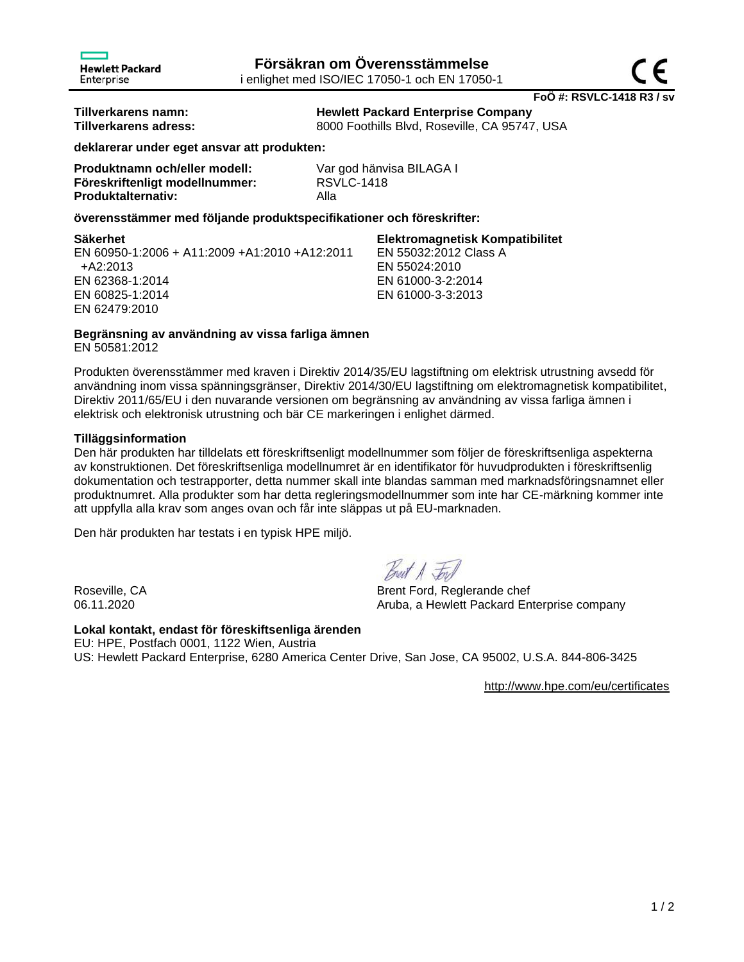**Tillverkarens namn: Hewlett Packard Enterprise Company** 8000 Foothills Blvd, Roseville, CA 95747, USA

EN 55032:2012 Class A

EN 55024:2010 EN 61000-3-2:2014 EN 61000-3-3:2013

**deklarerar under eget ansvar att produkten:**

| Produktnamn och/eller modell:  | Var             |
|--------------------------------|-----------------|
| Föreskriftenligt modellnummer: | RS <sub>\</sub> |
| <b>Produktalternativ:</b>      | Alla            |

Var god hänvisa BILAGA I **Föreskriftenligt modellnummer:** RSVLC-1418

## **överensstämmer med följande produktspecifikationer och föreskrifter:**

## **Säkerhet Elektromagnetisk Kompatibilitet**

EN 60950-1:2006 + A11:2009 +A1:2010 +A12:2011 +A2:2013 EN 62368-1:2014 EN 60825-1:2014 EN 62479:2010

# **Begränsning av användning av vissa farliga ämnen**

EN 50581:2012

Produkten överensstämmer med kraven i Direktiv 2014/35/EU lagstiftning om elektrisk utrustning avsedd för användning inom vissa spänningsgränser, Direktiv 2014/30/EU lagstiftning om elektromagnetisk kompatibilitet, Direktiv 2011/65/EU i den nuvarande versionen om begränsning av användning av vissa farliga ämnen i elektrisk och elektronisk utrustning och bär CE markeringen i enlighet därmed.

# **Tilläggsinformation**

Den här produkten har tilldelats ett föreskriftsenligt modellnummer som följer de föreskriftsenliga aspekterna av konstruktionen. Det föreskriftsenliga modellnumret är en identifikator för huvudprodukten i föreskriftsenlig dokumentation och testrapporter, detta nummer skall inte blandas samman med marknadsföringsnamnet eller produktnumret. Alla produkter som har detta regleringsmodellnummer som inte har CE-märkning kommer inte att uppfylla alla krav som anges ovan och får inte släppas ut på EU-marknaden.

Den här produkten har testats i en typisk HPE miljö.

Breat A For

Roseville, CA Brent Ford, Reglerande chef 06.11.2020 **Aruba, a Hewlett Packard Enterprise company** 

# **Lokal kontakt, endast för föreskiftsenliga ärenden**

EU: HPE, Postfach 0001, 1122 Wien, Austria US: Hewlett Packard Enterprise, 6280 America Center Drive, San Jose, CA 95002, U.S.A. 844-806-3425